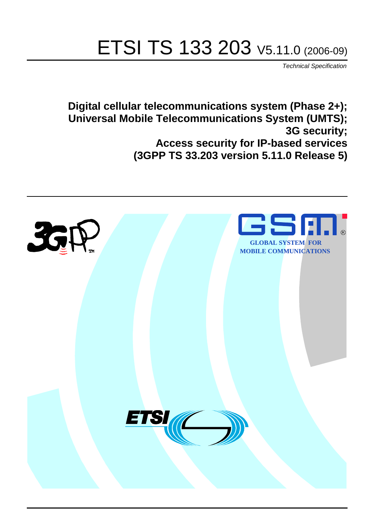# ETSI TS 133 203 V5.11.0 (2006-09)

Technical Specification

**Digital cellular telecommunications system (Phase 2+); Universal Mobile Telecommunications System (UMTS); 3G security; Access security for IP-based services (3GPP TS 33.203 version 5.11.0 Release 5)**

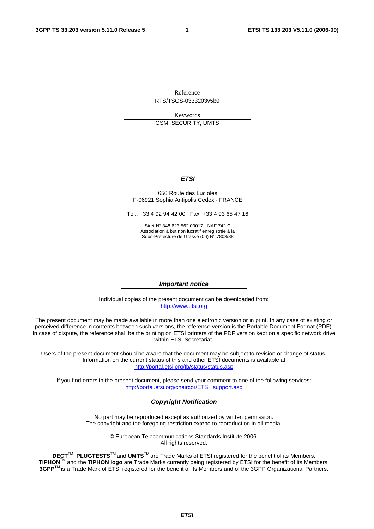Reference RTS/TSGS-0333203v5b0

Keywords GSM, SECURITY, UMTS

#### **ETSI**

#### 650 Route des Lucioles F-06921 Sophia Antipolis Cedex - FRANCE

Tel.: +33 4 92 94 42 00 Fax: +33 4 93 65 47 16

Siret N° 348 623 562 00017 - NAF 742 C Association à but non lucratif enregistrée à la Sous-Préfecture de Grasse (06) N° 7803/88

#### **Important notice**

Individual copies of the present document can be downloaded from: [http://www.etsi.org](http://www.etsi.org/)

The present document may be made available in more than one electronic version or in print. In any case of existing or perceived difference in contents between such versions, the reference version is the Portable Document Format (PDF). In case of dispute, the reference shall be the printing on ETSI printers of the PDF version kept on a specific network drive within ETSI Secretariat.

Users of the present document should be aware that the document may be subject to revision or change of status. Information on the current status of this and other ETSI documents is available at <http://portal.etsi.org/tb/status/status.asp>

If you find errors in the present document, please send your comment to one of the following services: [http://portal.etsi.org/chaircor/ETSI\\_support.asp](http://portal.etsi.org/chaircor/ETSI_support.asp)

#### **Copyright Notification**

No part may be reproduced except as authorized by written permission. The copyright and the foregoing restriction extend to reproduction in all media.

> © European Telecommunications Standards Institute 2006. All rights reserved.

**DECT**TM, **PLUGTESTS**TM and **UMTS**TM are Trade Marks of ETSI registered for the benefit of its Members. **TIPHON**TM and the **TIPHON logo** are Trade Marks currently being registered by ETSI for the benefit of its Members. **3GPP**TM is a Trade Mark of ETSI registered for the benefit of its Members and of the 3GPP Organizational Partners.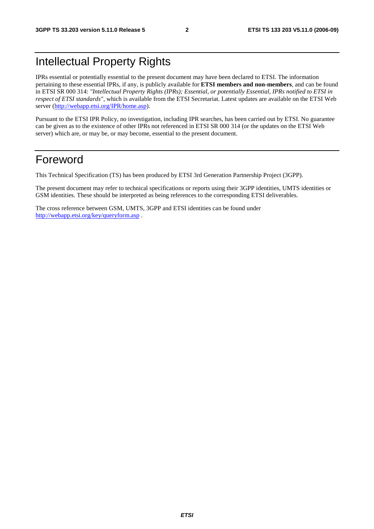## Intellectual Property Rights

IPRs essential or potentially essential to the present document may have been declared to ETSI. The information pertaining to these essential IPRs, if any, is publicly available for **ETSI members and non-members**, and can be found in ETSI SR 000 314: *"Intellectual Property Rights (IPRs); Essential, or potentially Essential, IPRs notified to ETSI in respect of ETSI standards"*, which is available from the ETSI Secretariat. Latest updates are available on the ETSI Web server ([http://webapp.etsi.org/IPR/home.asp\)](http://webapp.etsi.org/IPR/home.asp).

Pursuant to the ETSI IPR Policy, no investigation, including IPR searches, has been carried out by ETSI. No guarantee can be given as to the existence of other IPRs not referenced in ETSI SR 000 314 (or the updates on the ETSI Web server) which are, or may be, or may become, essential to the present document.

## Foreword

This Technical Specification (TS) has been produced by ETSI 3rd Generation Partnership Project (3GPP).

The present document may refer to technical specifications or reports using their 3GPP identities, UMTS identities or GSM identities. These should be interpreted as being references to the corresponding ETSI deliverables.

The cross reference between GSM, UMTS, 3GPP and ETSI identities can be found under <http://webapp.etsi.org/key/queryform.asp>.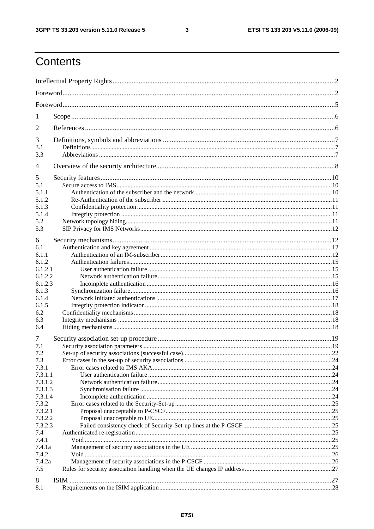$\mathbf{3}$ 

## Contents

| 1                  |  |  |  |  |  |  |  |  |
|--------------------|--|--|--|--|--|--|--|--|
| $\overline{2}$     |  |  |  |  |  |  |  |  |
| 3                  |  |  |  |  |  |  |  |  |
| 3.1                |  |  |  |  |  |  |  |  |
| 3.3                |  |  |  |  |  |  |  |  |
| 4                  |  |  |  |  |  |  |  |  |
| 5                  |  |  |  |  |  |  |  |  |
| 5.1                |  |  |  |  |  |  |  |  |
| 5.1.1              |  |  |  |  |  |  |  |  |
| 5.1.2              |  |  |  |  |  |  |  |  |
| 5.1.3              |  |  |  |  |  |  |  |  |
| 5.1.4              |  |  |  |  |  |  |  |  |
| 5.2                |  |  |  |  |  |  |  |  |
| 5.3                |  |  |  |  |  |  |  |  |
| 6                  |  |  |  |  |  |  |  |  |
| 6.1                |  |  |  |  |  |  |  |  |
| 6.1.1              |  |  |  |  |  |  |  |  |
| 6.1.2              |  |  |  |  |  |  |  |  |
|                    |  |  |  |  |  |  |  |  |
| 6.1.2.1<br>6.1.2.2 |  |  |  |  |  |  |  |  |
|                    |  |  |  |  |  |  |  |  |
| 6.1.2.3            |  |  |  |  |  |  |  |  |
| 6.1.3              |  |  |  |  |  |  |  |  |
| 6.1.4              |  |  |  |  |  |  |  |  |
| 6.1.5              |  |  |  |  |  |  |  |  |
| 6.2                |  |  |  |  |  |  |  |  |
| 6.3                |  |  |  |  |  |  |  |  |
| 6.4                |  |  |  |  |  |  |  |  |
| 7                  |  |  |  |  |  |  |  |  |
| 7.1                |  |  |  |  |  |  |  |  |
| 7.2                |  |  |  |  |  |  |  |  |
| 7.3                |  |  |  |  |  |  |  |  |
| 7.3.1              |  |  |  |  |  |  |  |  |
| 7.3.1.1            |  |  |  |  |  |  |  |  |
| 7.3.1.2            |  |  |  |  |  |  |  |  |
| 7.3.1.3            |  |  |  |  |  |  |  |  |
| 7.3.1.4            |  |  |  |  |  |  |  |  |
| 7.3.2              |  |  |  |  |  |  |  |  |
| 7.3.2.1            |  |  |  |  |  |  |  |  |
| 7.3.2.2            |  |  |  |  |  |  |  |  |
|                    |  |  |  |  |  |  |  |  |
| 7.3.2.3            |  |  |  |  |  |  |  |  |
| 7.4                |  |  |  |  |  |  |  |  |
| 7.4.1              |  |  |  |  |  |  |  |  |
| 7.4.1a             |  |  |  |  |  |  |  |  |
| 7.4.2              |  |  |  |  |  |  |  |  |
| 7.4.2a             |  |  |  |  |  |  |  |  |
| 7.5                |  |  |  |  |  |  |  |  |
|                    |  |  |  |  |  |  |  |  |
| 8                  |  |  |  |  |  |  |  |  |
| 8.1                |  |  |  |  |  |  |  |  |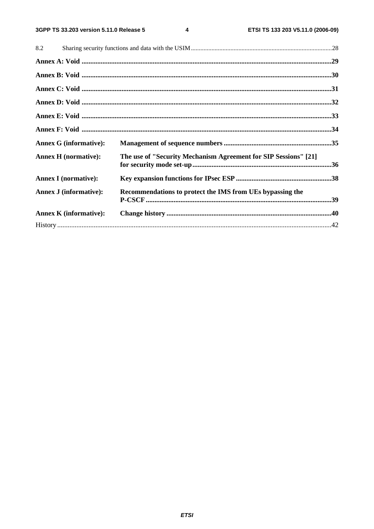$\overline{\mathbf{4}}$ 

| 8.2                           |                                                                 |  |
|-------------------------------|-----------------------------------------------------------------|--|
|                               |                                                                 |  |
|                               |                                                                 |  |
|                               |                                                                 |  |
|                               |                                                                 |  |
|                               |                                                                 |  |
|                               |                                                                 |  |
| <b>Annex G</b> (informative): |                                                                 |  |
| <b>Annex H</b> (normative):   | The use of "Security Mechanism Agreement for SIP Sessions" [21] |  |
| <b>Annex I</b> (normative):   |                                                                 |  |
| <b>Annex J</b> (informative): | Recommendations to protect the IMS from UEs bypassing the       |  |
| <b>Annex K</b> (informative): |                                                                 |  |
|                               |                                                                 |  |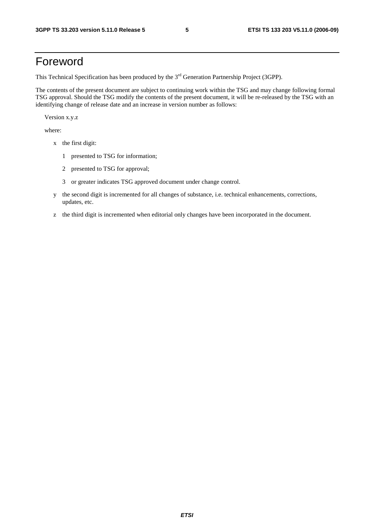## Foreword

This Technical Specification has been produced by the 3<sup>rd</sup> Generation Partnership Project (3GPP).

The contents of the present document are subject to continuing work within the TSG and may change following formal TSG approval. Should the TSG modify the contents of the present document, it will be re-released by the TSG with an identifying change of release date and an increase in version number as follows:

Version x.y.z

where:

- x the first digit:
	- 1 presented to TSG for information;
	- 2 presented to TSG for approval;
	- 3 or greater indicates TSG approved document under change control.
- y the second digit is incremented for all changes of substance, i.e. technical enhancements, corrections, updates, etc.
- z the third digit is incremented when editorial only changes have been incorporated in the document.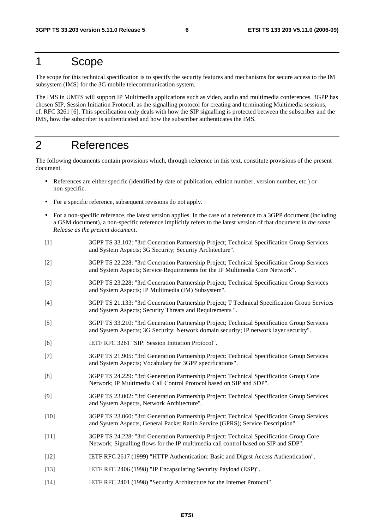### 1 Scope

The scope for this technical specification is to specify the security features and mechanisms for secure access to the IM subsystem (IMS) for the 3G mobile telecommunication system.

The IMS in UMTS will support IP Multimedia applications such as video, audio and multimedia conferences. 3GPP has chosen SIP, Session Initiation Protocol, as the signalling protocol for creating and terminating Multimedia sessions, cf. RFC 3261 [6]. This specification only deals with how the SIP signalling is protected between the subscriber and the IMS, how the subscriber is authenticated and how the subscriber authenticates the IMS.

## 2 References

The following documents contain provisions which, through reference in this text, constitute provisions of the present document.

- References are either specific (identified by date of publication, edition number, version number, etc.) or non-specific.
- For a specific reference, subsequent revisions do not apply.
- For a non-specific reference, the latest version applies. In the case of a reference to a 3GPP document (including a GSM document), a non-specific reference implicitly refers to the latest version of that document *in the same Release as the present document*.
- [1] 3GPP TS 33.102: "3rd Generation Partnership Project; Technical Specification Group Services and System Aspects; 3G Security; Security Architecture".
- [2] 3GPP TS 22.228: "3rd Generation Partnership Project; Technical Specification Group Services and System Aspects; Service Requirements for the IP Multimedia Core Network".
- [3] 3GPP TS 23.228: "3rd Generation Partnership Project; Technical Specification Group Services and System Aspects; IP Multimedia (IM) Subsystem".
- [4] 3GPP TS 21.133: "3rd Generation Partnership Project; T Technical Specification Group Services and System Aspects; Security Threats and Requirements ".
- [5] 3GPP TS 33.210: "3rd Generation Partnership Project; Technical Specification Group Services and System Aspects; 3G Security; Network domain security; IP network layer security".
- [6] IETF RFC 3261 "SIP: Session Initiation Protocol".
- [7] 3GPP TS 21.905: "3rd Generation Partnership Project: Technical Specification Group Services and System Aspects; Vocabulary for 3GPP specifications".
- [8] 3GPP TS 24.229: "3rd Generation Partnership Project: Technical Specification Group Core Network; IP Multimedia Call Control Protocol based on SIP and SDP".
- [9] 3GPP TS 23.002: "3rd Generation Partnership Project: Technical Specification Group Services and System Aspects, Network Architecture".
- [10] 3GPP TS 23.060: "3rd Generation Partnership Project: Technical Specification Group Services and System Aspects, General Packet Radio Service (GPRS); Service Description".
- [11] 3GPP TS 24.228: "3rd Generation Partnership Project: Technical Specification Group Core Network; Signalling flows for the IP multimedia call control based on SIP and SDP".
- [12] IETF RFC 2617 (1999) "HTTP Authentication: Basic and Digest Access Authentication".
- [13] IETF RFC 2406 (1998) "IP Encapsulating Security Payload (ESP)".
- [14] IETF RFC 2401 (1998) "Security Architecture for the Internet Protocol".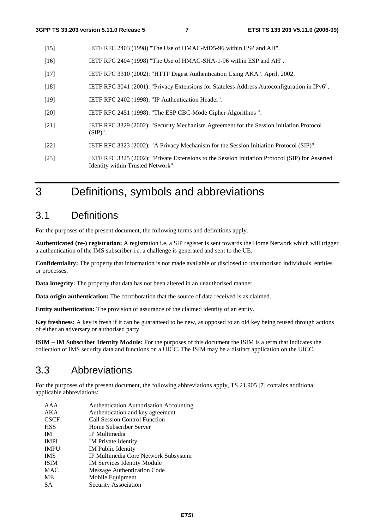- [15] IETF RFC 2403 (1998) "The Use of HMAC-MD5-96 within ESP and AH".
- [16] IETF RFC 2404 (1998) "The Use of HMAC-SHA-1-96 within ESP and AH".
- [17] IETF RFC 3310 (2002): "HTTP Digest Authentication Using AKA". April, 2002.
- [18] IETF RFC 3041 (2001): "Privacy Extensions for Stateless Address Autoconfiguration in IPv6".
- [19] IETF RFC 2402 (1998): "IP Authentication Header".
- [20] IETF RFC 2451 (1998): "The ESP CBC-Mode Cipher Algorithms ".
- [21] IETF RFC 3329 (2002): "Security Mechanism Agreement for the Session Initiation Protocol (SIP)".
- [22] IETF RFC 3323 (2002): "A Privacy Mechanism for the Session Initiation Protocol (SIP)".
- [23] IETF RFC 3325 (2002): "Private Extensions to the Session Initiation Protocol (SIP) for Asserted Identity within Trusted Network".

3 Definitions, symbols and abbreviations

### 3.1 Definitions

For the purposes of the present document, the following terms and definitions apply.

**Authenticated (re-) registration:** A registration i.e. a SIP register is sent towards the Home Network which will trigger a authentication of the IMS subscriber i.e. a challenge is generated and sent to the UE.

**Confidentiality:** The property that information is not made available or disclosed to unauthorised individuals, entities or processes.

**Data integrity:** The property that data has not been altered in an unauthorised manner.

**Data origin authentication:** The corroboration that the source of data received is as claimed.

**Entity authentication:** The provision of assurance of the claimed identity of an entity.

**Key freshness:** A key is fresh if it can be guaranteed to be new, as opposed to an old key being reused through actions of either an adversary or authorised party.

**ISIM – IM Subscriber Identity Module:** For the purposes of this document the ISIM is a term that indicates the collection of IMS security data and functions on a UICC. The ISIM may be a distinct application on the UICC.

### 3.3 Abbreviations

For the purposes of the present document, the following abbreviations apply, TS 21.905 [7] contains additional applicable abbreviations:

AAA Authentication Authorisation Accounting AKA Authentication and key agreement CSCF Call Session Control Function HSS Home Subscriber Server IM IP Multimedia IMPI IM Private Identity IMPU IM Public Identity IMS IP Multimedia Core Network Subsystem ISIM IM Services Identity Module MAC Message Authentication Code ME Mobile Equipment SA Security Association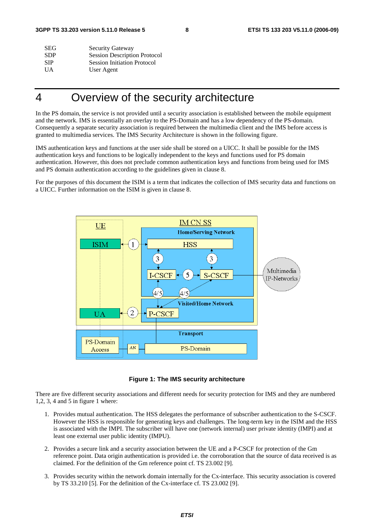| <b>SEG</b> | <b>Security Gateway</b>             |
|------------|-------------------------------------|
| <b>SDP</b> | <b>Session Description Protocol</b> |
| SIP.       | <b>Session Initiation Protocol</b>  |
| UA.        | User Agent                          |
|            |                                     |

## 4 Overview of the security architecture

In the PS domain, the service is not provided until a security association is established between the mobile equipment and the network. IMS is essentially an overlay to the PS-Domain and has a low dependency of the PS-domain. Consequently a separate security association is required between the multimedia client and the IMS before access is granted to multimedia services. The IMS Security Architecture is shown in the following figure.

IMS authentication keys and functions at the user side shall be stored on a UICC. It shall be possible for the IMS authentication keys and functions to be logically independent to the keys and functions used for PS domain authentication. However, this does not preclude common authentication keys and functions from being used for IMS and PS domain authentication according to the guidelines given in clause 8.

For the purposes of this document the ISIM is a term that indicates the collection of IMS security data and functions on a UICC. Further information on the ISIM is given in clause 8.



**Figure 1: The IMS security architecture** 

There are five different security associations and different needs for security protection for IMS and they are numbered 1,2, 3, 4 and 5 in figure 1 where:

- 1. Provides mutual authentication. The HSS delegates the performance of subscriber authentication to the S-CSCF. However the HSS is responsible for generating keys and challenges. The long-term key in the ISIM and the HSS is associated with the IMPI. The subscriber will have one (network internal) user private identity (IMPI) and at least one external user public identity (IMPU).
- 2. Provides a secure link and a security association between the UE and a P-CSCF for protection of the Gm reference point. Data origin authentication is provided i.e. the corroboration that the source of data received is as claimed. For the definition of the Gm reference point cf. TS 23.002 [9].
- 3. Provides security within the network domain internally for the Cx-interface. This security association is covered by TS 33.210 [5]. For the definition of the Cx-interface cf. TS 23.002 [9].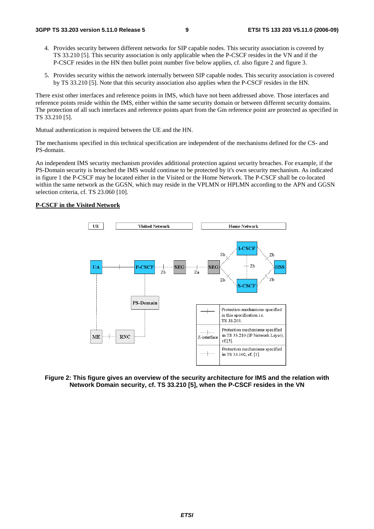- 4. Provides security between different networks for SIP capable nodes. This security association is covered by TS 33.210 [5]. This security association is only applicable when the P-CSCF resides in the VN and if the P-CSCF resides in the HN then bullet point number five below applies, cf. also figure 2 and figure 3.
- 5. Provides security within the network internally between SIP capable nodes. This security association is covered by TS 33.210 [5]. Note that this security association also applies when the P-CSCF resides in the HN.

There exist other interfaces and reference points in IMS, which have not been addressed above. Those interfaces and reference points reside within the IMS, either within the same security domain or between different security domains. The protection of all such interfaces and reference points apart from the Gm reference point are protected as specified in TS 33.210 [5].

Mutual authentication is required between the UE and the HN.

The mechanisms specified in this technical specification are independent of the mechanisms defined for the CS- and PS-domain.

An independent IMS security mechanism provides additional protection against security breaches. For example, if the PS-Domain security is breached the IMS would continue to be protected by it's own security mechanism. As indicated in figure 1 the P-CSCF may be located either in the Visited or the Home Network. The P-CSCF shall be co-located within the same network as the GGSN, which may reside in the VPLMN or HPLMN according to the APN and GGSN selection criteria, cf. TS 23.060 [10].

#### **P-CSCF in the Visited Network**



**Figure 2: This figure gives an overview of the security architecture for IMS and the relation with Network Domain security, cf. TS 33.210 [5], when the P-CSCF resides in the VN**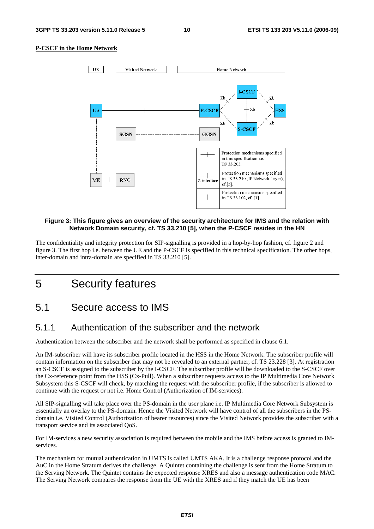#### **P-CSCF in the Home Network**



#### **Figure 3: This figure gives an overview of the security architecture for IMS and the relation with Network Domain security, cf. TS 33.210 [5], when the P-CSCF resides in the HN**

The confidentiality and integrity protection for SIP-signalling is provided in a hop-by-hop fashion, cf. figure 2 and figure 3. The first hop i.e. between the UE and the P-CSCF is specified in this technical specification. The other hops, inter-domain and intra-domain are specified in TS 33.210 [5].

## 5 Security features

### 5.1 Secure access to IMS

### 5.1.1 Authentication of the subscriber and the network

Authentication between the subscriber and the network shall be performed as specified in clause 6.1.

An IM-subscriber will have its subscriber profile located in the HSS in the Home Network. The subscriber profile will contain information on the subscriber that may not be revealed to an external partner, cf. TS 23.228 [3]. At registration an S-CSCF is assigned to the subscriber by the I-CSCF. The subscriber profile will be downloaded to the S-CSCF over the Cx-reference point from the HSS (Cx-Pull). When a subscriber requests access to the IP Multimedia Core Network Subsystem this S-CSCF will check, by matching the request with the subscriber profile, if the subscriber is allowed to continue with the request or not i.e. Home Control (Authorization of IM-services).

All SIP-signalling will take place over the PS-domain in the user plane i.e. IP Multimedia Core Network Subsystem is essentially an overlay to the PS-domain. Hence the Visited Network will have control of all the subscribers in the PSdomain i.e. Visited Control (Authorization of bearer resources) since the Visited Network provides the subscriber with a transport service and its associated QoS.

For IM-services a new security association is required between the mobile and the IMS before access is granted to IMservices.

The mechanism for mutual authentication in UMTS is called UMTS AKA. It is a challenge response protocol and the AuC in the Home Stratum derives the challenge. A Quintet containing the challenge is sent from the Home Stratum to the Serving Network. The Quintet contains the expected response XRES and also a message authentication code MAC. The Serving Network compares the response from the UE with the XRES and if they match the UE has been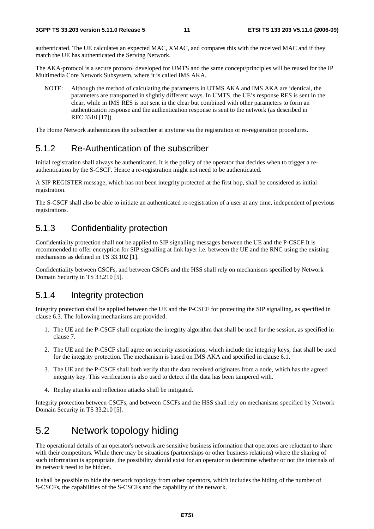authenticated. The UE calculates an expected MAC, XMAC, and compares this with the received MAC and if they match the UE has authenticated the Serving Network.

The AKA-protocol is a secure protocol developed for UMTS and the same concept/principles will be reused for the IP Multimedia Core Network Subsystem, where it is called IMS AKA.

NOTE: Although the method of calculating the parameters in UTMS AKA and IMS AKA are identical, the parameters are transported in slightly different ways. In UMTS, the UE's response RES is sent in the clear, while in IMS RES is not sent in the clear but combined with other parameters to form an authentication response and the authentication response is sent to the network (as described in RFC 3310 [17])

The Home Network authenticates the subscriber at anytime via the registration or re-registration procedures.

### 5.1.2 Re-Authentication of the subscriber

Initial registration shall always be authenticated. It is the policy of the operator that decides when to trigger a reauthentication by the S-CSCF. Hence a re-registration might not need to be authenticated.

A SIP REGISTER message, which has not been integrity protected at the first hop, shall be considered as initial registration.

The S-CSCF shall also be able to initiate an authenticated re-registration of a user at any time, independent of previous registrations.

### 5.1.3 Confidentiality protection

Confidentiality protection shall not be applied to SIP signalling messages between the UE and the P-CSCF.It is recommended to offer encryption for SIP signalling at link layer i.e. between the UE and the RNC using the existing mechanisms as defined in TS 33.102 [1].

Confidentiality between CSCFs, and between CSCFs and the HSS shall rely on mechanisms specified by Network Domain Security in TS 33.210 [5].

### 5.1.4 Integrity protection

Integrity protection shall be applied between the UE and the P-CSCF for protecting the SIP signalling, as specified in clause 6.3. The following mechanisms are provided.

- 1. The UE and the P-CSCF shall negotiate the integrity algorithm that shall be used for the session, as specified in clause 7.
- 2. The UE and the P-CSCF shall agree on security associations, which include the integrity keys, that shall be used for the integrity protection. The mechanism is based on IMS AKA and specified in clause 6.1.
- 3. The UE and the P-CSCF shall both verify that the data received originates from a node, which has the agreed integrity key. This verification is also used to detect if the data has been tampered with.
- 4. Replay attacks and reflection attacks shall be mitigated.

Integrity protection between CSCFs, and between CSCFs and the HSS shall rely on mechanisms specified by Network Domain Security in TS 33.210 [5].

## 5.2 Network topology hiding

The operational details of an operator's network are sensitive business information that operators are reluctant to share with their competitors. While there may be situations (partnerships or other business relations) where the sharing of such information is appropriate, the possibility should exist for an operator to determine whether or not the internals of its network need to be hidden.

It shall be possible to hide the network topology from other operators, which includes the hiding of the number of S-CSCFs, the capabilities of the S-CSCFs and the capability of the network.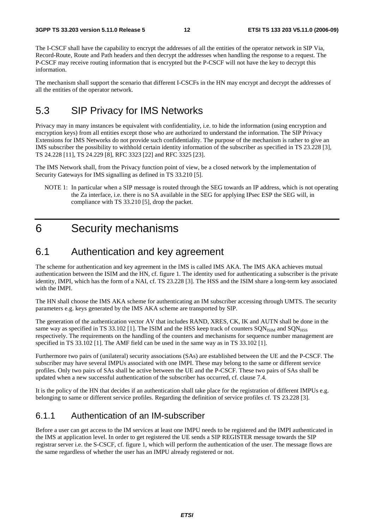The I-CSCF shall have the capability to encrypt the addresses of all the entities of the operator network in SIP Via, Record-Route, Route and Path headers and then decrypt the addresses when handling the response to a request. The P-CSCF may receive routing information that is encrypted but the P-CSCF will not have the key to decrypt this information.

The mechanism shall support the scenario that different I-CSCFs in the HN may encrypt and decrypt the addresses of all the entities of the operator network.

## 5.3 SIP Privacy for IMS Networks

Privacy may in many instances be equivalent with confidentiality, i.e. to hide the information (using encryption and encryption keys) from all entities except those who are authorized to understand the information. The SIP Privacy Extensions for IMS Networks do not provide such confidentiality. The purpose of the mechanism is rather to give an IMS subscriber the possibility to withhold certain identity information of the subscriber as specified in TS 23.228 [3], TS 24.228 [11], TS 24.229 [8], RFC 3323 [22] and RFC 3325 [23].

The IMS Network shall, from the Privacy function point of view, be a closed network by the implementation of Security Gateways for IMS signalling as defined in TS 33.210 [5].

NOTE 1: In particular when a SIP message is routed through the SEG towards an IP address, which is not operating the Za interface, i.e. there is no SA available in the SEG for applying IPsec ESP the SEG will, in compliance with TS 33.210 [5], drop the packet.

## 6 Security mechanisms

### 6.1 Authentication and key agreement

The scheme for authentication and key agreement in the IMS is called IMS AKA. The IMS AKA achieves mutual authentication between the ISIM and the HN, cf. figure 1. The identity used for authenticating a subscriber is the private identity, IMPI, which has the form of a NAI, cf. TS 23.228 [3]. The HSS and the ISIM share a long-term key associated with the IMPI.

The HN shall choose the IMS AKA scheme for authenticating an IM subscriber accessing through UMTS. The security parameters e.g. keys generated by the IMS AKA scheme are transported by SIP.

The generation of the authentication vector AV that includes RAND, XRES, CK, IK and AUTN shall be done in the same way as specified in TS 33.102 [1]. The ISIM and the HSS keep track of counters  $SON<sub>ISM</sub>$  and  $SON<sub>ISS</sub>$ respectively. The requirements on the handling of the counters and mechanisms for sequence number management are specified in TS 33.102 [1]. The AMF field can be used in the same way as in TS 33.102 [1].

Furthermore two pairs of (unilateral) security associations (SAs) are established between the UE and the P-CSCF. The subscriber may have several IMPUs associated with one IMPI. These may belong to the same or different service profiles. Only two pairs of SAs shall be active between the UE and the P-CSCF. These two pairs of SAs shall be updated when a new successful authentication of the subscriber has occurred, cf. clause 7.4.

It is the policy of the HN that decides if an authentication shall take place for the registration of different IMPUs e.g. belonging to same or different service profiles. Regarding the definition of service profiles cf. TS 23.228 [3].

### 6.1.1 Authentication of an IM-subscriber

Before a user can get access to the IM services at least one IMPU needs to be registered and the IMPI authenticated in the IMS at application level. In order to get registered the UE sends a SIP REGISTER message towards the SIP registrar server i.e. the S-CSCF, cf. figure 1, which will perform the authentication of the user. The message flows are the same regardless of whether the user has an IMPU already registered or not.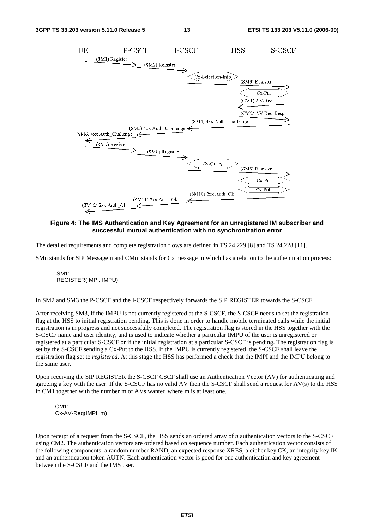

**Figure 4: The IMS Authentication and Key Agreement for an unregistered IM subscriber and successful mutual authentication with no synchronization error** 

The detailed requirements and complete registration flows are defined in TS 24.229 [8] and TS 24.228 [11].

SMn stands for SIP Message n and CMm stands for Cx message m which has a relation to the authentication process:

SM1: REGISTER(IMPI, IMPU)

In SM2 and SM3 the P-CSCF and the I-CSCF respectively forwards the SIP REGISTER towards the S-CSCF.

After receiving SM3, if the IMPU is not currently registered at the S-CSCF, the S-CSCF needs to set the registration flag at the HSS to initial registration pending. This is done in order to handle mobile terminated calls while the initial registration is in progress and not successfully completed. The registration flag is stored in the HSS together with the S-CSCF name and user identity, and is used to indicate whether a particular IMPU of the user is unregistered or registered at a particular S-CSCF or if the initial registration at a particular S-CSCF is pending. The registration flag is set by the S-CSCF sending a Cx-Put to the HSS. If the IMPU is currently registered, the S-CSCF shall leave the registration flag set to *registered*. At this stage the HSS has performed a check that the IMPI and the IMPU belong to the same user.

Upon receiving the SIP REGISTER the S-CSCF CSCF shall use an Authentication Vector (AV) for authenticating and agreeing a key with the user. If the S-CSCF has no valid AV then the S-CSCF shall send a request for AV(s) to the HSS in CM1 together with the number m of AVs wanted where m is at least one.

CM1: Cx-AV-Req(IMPI, m)

Upon receipt of a request from the S-CSCF, the HSS sends an ordered array of *n* authentication vectors to the S-CSCF using CM2. The authentication vectors are ordered based on sequence number. Each authentication vector consists of the following components: a random number RAND, an expected response XRES, a cipher key CK, an integrity key IK and an authentication token AUTN. Each authentication vector is good for one authentication and key agreement between the S-CSCF and the IMS user.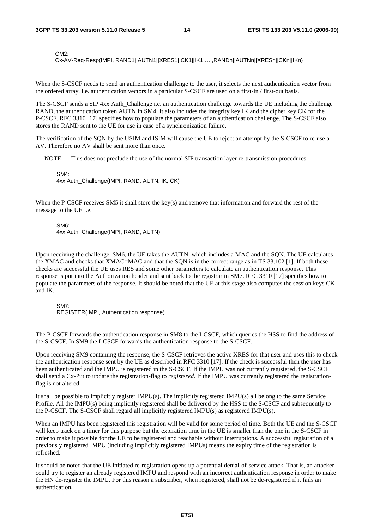CM2:

Cx-AV-Req-Resp(IMPI, RAND1||AUTN1||XRES1||CK1||IK1,….,RANDn||AUTNn||XRESn||CKn||IKn)

When the S-CSCF needs to send an authentication challenge to the user, it selects the next authentication vector from the ordered array, i.e. authentication vectors in a particular S-CSCF are used on a first-in / first-out basis.

The S-CSCF sends a SIP 4xx Auth Challenge i.e. an authentication challenge towards the UE including the challenge RAND, the authentication token AUTN in SM4. It also includes the integrity key IK and the cipher key CK for the P-CSCF. RFC 3310 [17] specifies how to populate the parameters of an authentication challenge. The S-CSCF also stores the RAND sent to the UE for use in case of a synchronization failure.

The verification of the SQN by the USIM and ISIM will cause the UE to reject an attempt by the S-CSCF to re-use a AV. Therefore no AV shall be sent more than once.

NOTE: This does not preclude the use of the normal SIP transaction layer re-transmission procedures.

SM4:

4xx Auth\_Challenge(IMPI, RAND, AUTN, IK, CK)

When the P-CSCF receives SM5 it shall store the key(s) and remove that information and forward the rest of the message to the UE i.e.

SM6:

4xx Auth\_Challenge(IMPI, RAND, AUTN)

Upon receiving the challenge, SM6, the UE takes the AUTN, which includes a MAC and the SQN. The UE calculates the XMAC and checks that XMAC=MAC and that the SQN is in the correct range as in TS 33.102 [1]. If both these checks are successful the UE uses RES and some other parameters to calculate an authentication response. This response is put into the Authorization header and sent back to the registrar in SM7. RFC 3310 [17] specifies how to populate the parameters of the response. It should be noted that the UE at this stage also computes the session keys CK and IK.

SM7:

REGISTER(IMPI, Authentication response)

The P-CSCF forwards the authentication response in SM8 to the I-CSCF, which queries the HSS to find the address of the S-CSCF. In SM9 the I-CSCF forwards the authentication response to the S-CSCF.

Upon receiving SM9 containing the response, the S-CSCF retrieves the active XRES for that user and uses this to check the authentication response sent by the UE as described in RFC 3310 [17]. If the check is successful then the user has been authenticated and the IMPU is registered in the S-CSCF. If the IMPU was not currently registered, the S-CSCF shall send a Cx-Put to update the registration-flag to *registered*. If the IMPU was currently registered the registrationflag is not altered.

It shall be possible to implicitly register IMPU(s). The implicitly registered IMPU(s) all belong to the same Service Profile. All the IMPU(s) being implicitly registered shall be delivered by the HSS to the S-CSCF and subsequently to the P-CSCF. The S-CSCF shall regard all implicitly registered IMPU(s) as registered IMPU(s).

When an IMPU has been registered this registration will be valid for some period of time. Both the UE and the S-CSCF will keep track on a timer for this purpose but the expiration time in the UE is smaller than the one in the S-CSCF in order to make it possible for the UE to be registered and reachable without interruptions. A successful registration of a previously registered IMPU (including implicitly registered IMPUs) means the expiry time of the registration is refreshed.

It should be noted that the UE initiated re-registration opens up a potential denial-of-service attack. That is, an attacker could try to register an already registered IMPU and respond with an incorrect authentication response in order to make the HN de-register the IMPU. For this reason a subscriber, when registered, shall not be de-registered if it fails an authentication.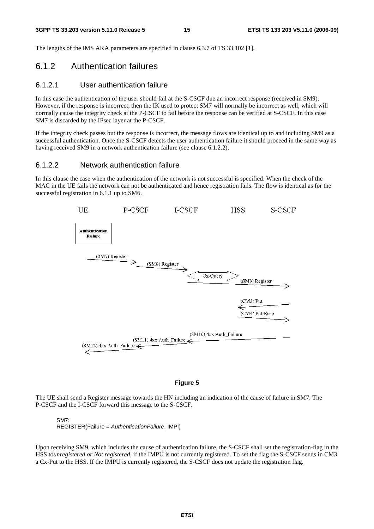The lengths of the IMS AKA parameters are specified in clause 6.3.7 of TS 33.102 [1].

### 6.1.2 Authentication failures

#### 6.1.2.1 User authentication failure

In this case the authentication of the user should fail at the S-CSCF due an incorrect response (received in SM9). However, if the response is incorrect, then the IK used to protect SM7 will normally be incorrect as well, which will normally cause the integrity check at the P-CSCF to fail before the response can be verified at S-CSCF. In this case SM7 is discarded by the IPsec layer at the P-CSCF.

If the integrity check passes but the response is incorrect, the message flows are identical up to and including SM9 as a successful authentication. Once the S-CSCF detects the user authentication failure it should proceed in the same way as having received SM9 in a network authentication failure (see clause 6.1.2.2).

#### 6.1.2.2 Network authentication failure

In this clause the case when the authentication of the network is not successful is specified. When the check of the MAC in the UE fails the network can not be authenticated and hence registration fails. The flow is identical as for the successful registration in 6.1.1 up to SM6.



#### **Figure 5**

The UE shall send a Register message towards the HN including an indication of the cause of failure in SM7. The P-CSCF and the I-CSCF forward this message to the S-CSCF.

#### SM7:

REGISTER(Failure = AuthenticationFailure, IMPI)

Upon receiving SM9, which includes the cause of authentication failure, the S-CSCF shall set the registration-flag in the HSS to*unregistered or Not registered*, if the IMPU is not currently registered. To set the flag the S-CSCF sends in CM3 a Cx-Put to the HSS. If the IMPU is currently registered, the S-CSCF does not update the registration flag.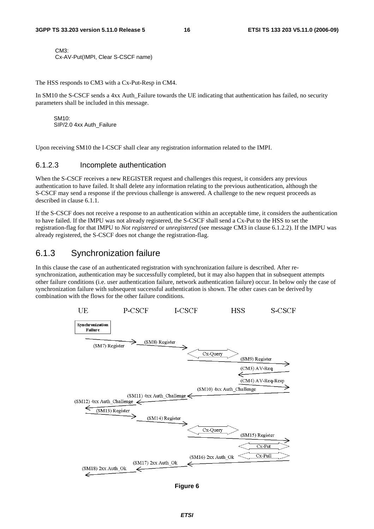CM3: Cx-AV-Put(IMPI, Clear S-CSCF name)

The HSS responds to CM3 with a Cx-Put-Resp in CM4.

In SM10 the S-CSCF sends a 4xx Auth Failure towards the UE indicating that authentication has failed, no security parameters shall be included in this message.

SM10: SIP/2.0 4xx Auth\_Failure

Upon receiving SM10 the I-CSCF shall clear any registration information related to the IMPI.

#### 6.1.2.3 Incomplete authentication

When the S-CSCF receives a new REGISTER request and challenges this request, it considers any previous authentication to have failed. It shall delete any information relating to the previous authentication, although the S-CSCF may send a response if the previous challenge is answered. A challenge to the new request proceeds as described in clause 6.1.1.

If the S-CSCF does not receive a response to an authentication within an acceptable time, it considers the authentication to have failed. If the IMPU was not already registered, the S-CSCF shall send a Cx-Put to the HSS to set the registration-flag for that IMPU to *Not registered* or *unregistered* (see message CM3 in clause 6.1.2.2). If the IMPU was already registered, the S-CSCF does not change the registration-flag.

### 6.1.3 Synchronization failure

In this clause the case of an authenticated registration with synchronization failure is described. After resynchronization, authentication may be successfully completed, but it may also happen that in subsequent attempts other failure conditions (i.e. user authentication failure, network authentication failure) occur. In below only the case of synchronization failure with subsequent successful authentication is shown. The other cases can be derived by combination with the flows for the other failure conditions.



**Figure 6**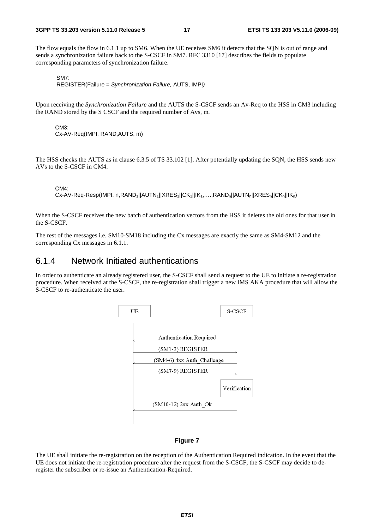The flow equals the flow in 6.1.1 up to SM6. When the UE receives SM6 it detects that the SQN is out of range and sends a synchronization failure back to the S-CSCF in SM7. RFC 3310 [17] describes the fields to populate corresponding parameters of synchronization failure.

```
SM7:
```
REGISTER(Failure = Synchronization Failure, AUTS, IMPI)

Upon receiving the *Synchronization Failure* and the AUTS the S-CSCF sends an Av-Req to the HSS in CM3 including the RAND stored by the S CSCF and the required number of Avs, m.

CM3: Cx-AV-Req(IMPI, RAND,AUTS, m)

The HSS checks the AUTS as in clause 6.3.5 of TS 33.102 [1]. After potentially updating the SQN, the HSS sends new AVs to the S-CSCF in CM4.

CM4:

```
Cx-AV-Req-Resp(IMPI, n,RAND<sub>1</sub>||AUTN<sub>1</sub>||XRES<sub>1</sub>||CK<sub>1</sub>||IK<sub>1</sub>,...,RAND<sub>n</sub>||AUTN<sub>n</sub>||XRES<sub>n</sub>||CK<sub>n</sub>||IK<sub>n</sub>)
```
When the S-CSCF receives the new batch of authentication vectors from the HSS it deletes the old ones for that user in the S-CSCF.

The rest of the messages i.e. SM10-SM18 including the Cx messages are exactly the same as SM4-SM12 and the corresponding Cx messages in 6.1.1.

### 6.1.4 Network Initiated authentications

In order to authenticate an already registered user, the S-CSCF shall send a request to the UE to initiate a re-registration procedure. When received at the S-CSCF, the re-registration shall trigger a new IMS AKA procedure that will allow the S-CSCF to re-authenticate the user.



#### **Figure 7**

The UE shall initiate the re-registration on the reception of the Authentication Required indication. In the event that the UE does not initiate the re-registration procedure after the request from the S-CSCF, the S-CSCF may decide to deregister the subscriber or re-issue an Authentication-Required.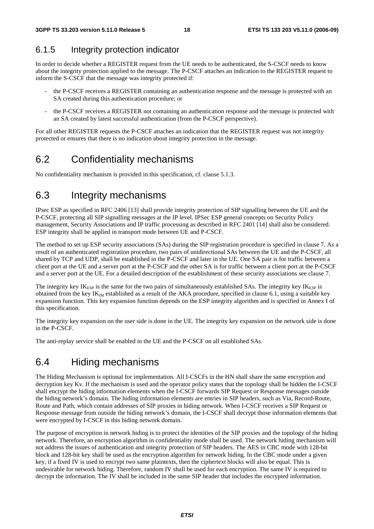### 6.1.5 Integrity protection indicator

In order to decide whether a REGISTER request from the UE needs to be authenticated, the S-CSCF needs to know about the integrity protection applied to the message. The P-CSCF attaches an indication to the REGISTER request to inform the S-CSCF that the message was integrity protected if:

- the P-CSCF receives a REGISTER containing an authentication response and the message is protected with an SA created during this authentication procedure; or
- the P-CSCF receives a REGISTER not containing an authentication response and the message is protected with an SA created by latest successful authentication (from the P-CSCF perspective).

For all other REGISTER requests the P-CSCF attaches an indication that the REGISTER request was not integrity protected or ensures that there is no indication about integrity protection in the message.

## 6.2 Confidentiality mechanisms

No confidentiality mechanism is provided in this specification, cf. clause 5.1.3.

## 6.3 Integrity mechanisms

IPsec ESP as specified in RFC 2406 [13] shall provide integrity protection of SIP signalling between the UE and the P-CSCF, protecting all SIP signalling messages at the IP level. IPSec ESP general concepts on Security Policy management, Security Associations and IP traffic processing as described in RFC 2401 [14] shall also be considered. ESP integrity shall be applied in transport mode between UE and P-CSCF.

The method to set up ESP security associations (SAs) during the SIP registration procedure is specified in clause 7. As a result of an authenticated registration procedure, two pairs of unidirectional SAs between the UE and the P-CSCF, all shared by TCP and UDP, shall be established in the P-CSCF and later in the UE. One SA pair is for traffic between a client port at the UE and a server port at the P-CSCF and the other SA is for traffic between a client port at the P-CSCF and a server port at the UE. For a detailed description of the establishment of these security associations see clause 7.

The integrity key  $IK_{ESP}$  is the same for the two pairs of simultaneously established SAs. The integrity key  $IK_{ESP}$  is obtained from the key  $IK_M$  established as a result of the AKA procedure, specified in clause 6.1, using a suitable key expansion function. This key expansion function depends on the ESP integrity algorithm and is specified in Annex I of this specification.

The integrity key expansion on the user side is done in the UE. The integrity key expansion on the network side is done in the P-CSCF.

The anti-replay service shall be enabled in the UE and the P-CSCF on all established SAs.

## 6.4 Hiding mechanisms

The Hiding Mechanism is optional for implementation. All I-CSCFs in the HN shall share the same encryption and decryption key Kv. If the mechanism is used and the operator policy states that the topology shall be hidden the I-CSCF shall encrypt the hiding information elements when the I-CSCF forwards SIP Request or Response messages outside the hiding network's domain. The hiding information elements are entries in SIP headers, such as Via, Record-Route, Route and Path, which contain addresses of SIP proxies in hiding network. When I-CSCF receives a SIP Request or Response message from outside the hiding network's domain, the I-CSCF shall decrypt those information elements that were encrypted by I-CSCF in this hiding network domain.

The purpose of encryption in network hiding is to protect the identities of the SIP proxies and the topology of the hiding network. Therefore, an encryption algorithm in confidentiality mode shall be used. The network hiding mechanism will not address the issues of authentication and integrity protection of SIP headers. The AES in CBC mode with 128-bit block and 128-bit key shall be used as the encryption algorithm for network hiding. In the CBC mode under a given key, if a fixed IV is used to encrypt two same plaintexts, then the ciphertext blocks will also be equal. This is undesirable for network hiding. Therefore, random IV shall be used for each encryption. The same IV is required to decrypt the information. The IV shall be included in the same SIP header that includes the encrypted information.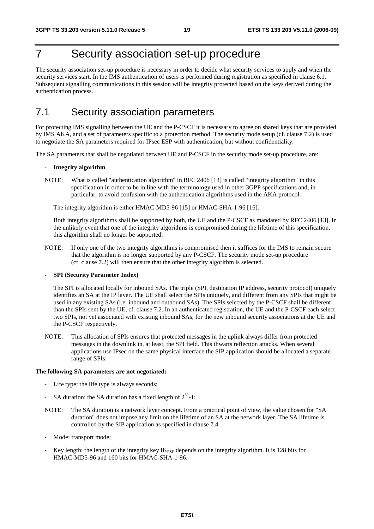## 7 Security association set-up procedure

The security association set-up procedure is necessary in order to decide what security services to apply and when the security services start. In the IMS authentication of users is performed during registration as specified in clause 6.1. Subsequent signalling communications in this session will be integrity protected based on the keys derived during the authentication process.

## 7.1 Security association parameters

For protecting IMS signalling between the UE and the P-CSCF it is necessary to agree on shared keys that are provided by IMS AKA, and a set of parameters specific to a protection method. The security mode setup (cf. clause 7.2) is used to negotiate the SA parameters required for IPsec ESP with authentication, but without confidentiality.

The SA parameters that shall be negotiated between UE and P-CSCF in the security mode set-up procedure, are:

#### **- Integrity algorithm**

NOTE: What is called "authentication algorithm" in RFC 2406 [13] is called "integrity algorithm" in this specification in order to be in line with the terminology used in other 3GPP specifications and, in particular, to avoid confusion with the authentication algorithms used in the AKA protocol.

The integrity algorithm is either HMAC-MD5-96 [15] or HMAC-SHA-1-96 [16].

 Both integrity algorithms shall be supported by both, the UE and the P-CSCF as mandated by RFC 2406 [13]. In the unlikely event that one of the integrity algorithms is compromised during the lifetime of this specification, this algorithm shall no longer be supported.

NOTE: If only one of the two integrity algorithms is compromised then it suffices for the IMS to remain secure that the algorithm is no longer supported by any P-CSCF. The security mode set-up procedure (cf. clause 7.2) will then ensure that the other integrity algorithm is selected.

#### **- SPI (Security Parameter Index)**

 The SPI is allocated locally for inbound SAs. The triple (SPI, destination IP address, security protocol) uniquely identifies an SA at the IP layer. The UE shall select the SPIs uniquely, and different from any SPIs that might be used in any existing SAs (i.e. inbound and outbound SAs). The SPIs selected by the P-CSCF shall be different than the SPIs sent by the UE, cf. clause 7.2. In an authenticated registration, the UE and the P-CSCF each select two SPIs, not yet associated with existing inbound SAs, for the new inbound security associations at the UE and the P-CSCF respectively.

NOTE: This allocation of SPIs ensures that protected messages in the uplink always differ from protected messages in the downlink in, at least, the SPI field. This thwarts reflection attacks. When several applications use IPsec on the same physical interface the SIP application should be allocated a separate range of SPIs.

#### **The following SA parameters are not negotiated:**

- Life type: the life type is always seconds;
- SA duration: the SA duration has a fixed length of  $2^{32}$ -1;
- NOTE: The SA duration is a network layer concept. From a practical point of view, the value chosen for "SA duration" does not impose any limit on the lifetime of an SA at the network layer. The SA lifetime is controlled by the SIP application as specified in clause 7.4.
- Mode: transport mode;
- Key length: the length of the integrity key  $IK_{ESP}$  depends on the integrity algorithm. It is 128 bits for HMAC-MD5-96 and 160 bits for HMAC-SHA-1-96.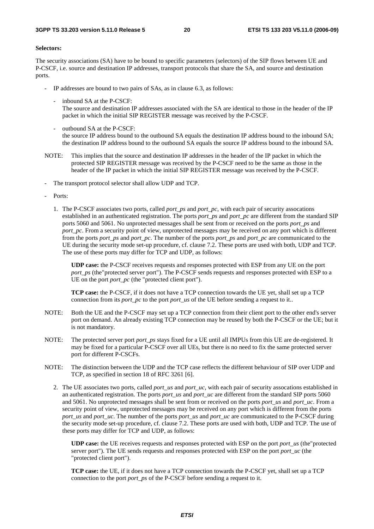#### **Selectors:**

The security associations (SA) have to be bound to specific parameters (selectors) of the SIP flows between UE and P-CSCF, i.e. source and destination IP addresses, transport protocols that share the SA, and source and destination ports.

- IP addresses are bound to two pairs of SAs, as in clause 6.3, as follows:
	- inbound SA at the P-CSCF:
		- The source and destination IP addresses associated with the SA are identical to those in the header of the IP packet in which the initial SIP REGISTER message was received by the P-CSCF.
	- outbound SA at the P-CSCF: the source IP address bound to the outbound SA equals the destination IP address bound to the inbound SA; the destination IP address bound to the outbound SA equals the source IP address bound to the inbound SA.
- NOTE: This implies that the source and destination IP addresses in the header of the IP packet in which the protected SIP REGISTER message was received by the P-CSCF need to be the same as those in the header of the IP packet in which the initial SIP REGISTER message was received by the P-CSCF.
- The transport protocol selector shall allow UDP and TCP.
- Ports:
	- 1. The P-CSCF associates two ports, called *port\_ps* and *port\_pc*, with each pair of security assocations established in an authenticated registration. The ports *port\_ps* and *port\_pc* are different from the standard SIP ports 5060 and 5061. No unprotected messages shall be sent from or received on the ports *port\_ps* and *port\_pc*. From a security point of view, unprotected messages may be received on any port which is different from the ports *port\_ps* and *port\_pc*. The number of the ports *port\_ps* and *port\_pc* are communicated to the UE during the security mode set-up procedure, cf. clause 7.2. These ports are used with both, UDP and TCP. The use of these ports may differ for TCP and UDP, as follows:

 **UDP case:** the P-CSCF receives requests and responses protected with ESP from any UE on the port *port\_ps* (the"protected server port"). The P-CSCF sends requests and responses protected with ESP to a UE on the port *port\_pc* (the "protected client port").

 **TCP case:** the P-CSCF, if it does not have a TCP connection towards the UE yet, shall set up a TCP connection from its *port\_pc* to the port *port\_us* of the UE before sending a request to it..

- NOTE: Both the UE and the P-CSCF may set up a TCP connection from their client port to the other end's server port on demand. An already existing TCP connection may be reused by both the P-CSCF or the UE; but it is not mandatory.
- NOTE: The protected server port *port\_ps* stays fixed for a UE until all IMPUs from this UE are de-registered. It may be fixed for a particular P-CSCF over all UEs, but there is no need to fix the same protected server port for different P-CSCFs.
- NOTE: The distinction between the UDP and the TCP case reflects the different behaviour of SIP over UDP and TCP, as specified in section 18 of RFC 3261 [6].
	- 2. The UE associates two ports, called *port\_us* and *port\_uc*, with each pair of security assocations established in an authenticated registration. The ports *port\_us* and *port\_uc* are different from the standard SIP ports 5060 and 5061. No unprotected messages shall be sent from or received on the ports *port\_us* and *port\_uc*. From a security point of view, unprotected messages may be received on any port which is different from the ports *port\_us* and *port\_uc*. The number of the ports *port\_us* and *port\_uc* are communicated to the P-CSCF during the security mode set-up procedure, cf. clause 7.2. These ports are used with both, UDP and TCP. The use of these ports may differ for TCP and UDP, as follows:

**UDP case:** the UE receives requests and responses protected with ESP on the port *port\_us* (the"protected server port"). The UE sends requests and responses protected with ESP on the port *port uc* (the "protected client port").

**TCP case:** the UE, if it does not have a TCP connection towards the P-CSCF yet, shall set up a TCP connection to the port *port ps* of the P-CSCF before sending a request to it.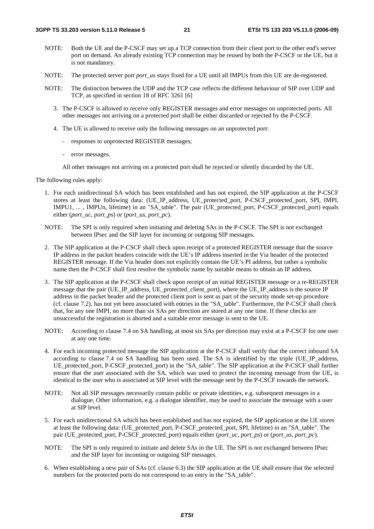- NOTE: Both the UE and the P-CSCF may set up a TCP connection from their client port to the other end's server port on demand. An already existing TCP connection may be reused by both the P-CSCF or the UE, but it is not mandatory.
- NOTE: The protected server port *port\_us* stays fixed for a UE until all IMPUs from this UE are de-registered.
- NOTE: The distinction between the UDP and the TCP case reflects the different behaviour of SIP over UDP and TCP, as specified in section 18 of RFC 3261 [6]
	- 3. The P-CSCF is allowed to receive only REGISTER messages and error messages on unprotected ports. All other messages not arriving on a protected port shall be either discarded or rejected by the P-CSCF.
	- 4. The UE is allowed to receive only the following messages on an unprotected port:
		- responses to unprotected REGISTER messages;
		- error messages.

All other messages not arriving on a protected port shall be rejected or silently discarded by the UE.

The following rules apply:

- 1. For each unidirectional SA which has been established and has not expired, the SIP application at the P-CSCF stores at least the following data: (UE\_IP\_address, UE\_protected\_port, P-CSCF\_protected\_port, SPI, IMPI, IMPU1, ... , IMPUn, lifetime) in an "SA\_table". The pair (UE\_protected\_port, P-CSCF\_protected\_port) equals either (*port\_uc*, *port\_ps*) or (*port\_us*, *port\_pc*).
- NOTE: The SPI is only required when initiating and deleting SAs in the P-CSCF. The SPI is not exchanged between IPsec and the SIP layer for incoming or outgoing SIP messages.
- 2. The SIP application at the P-CSCF shall check upon receipt of a protected REGISTER message that the source IP address in the packet headers coincide with the UE's IP address inserted in the Via header of the protected REGISTER message. If the Via header does not explicitly contain the UE's PI address, but rather a symbolic name then the P-CSCF shall first resolve the symbolic name by suitable means to obtain an IP address.
- 3. The SIP application at the P-CSCF shall check upon receipt of an initial REGISTER message or a re-REGISTER message that the pair (UE\_IP\_address, UE\_protected\_client\_port), where the UE\_IP\_address is the source IP address in the packet header and the protected client port is sent as part of the security mode set-up procedure (cf. clause 7.2), has not yet been associated with entries in the "SA\_table". Furthermore, the P-CSCF shall check that, for any one IMPI, no more than six SAs per direction are stored at any one time. If these checks are unsuccessful the registration is aborted and a suitable error message is sent to the UE.
- NOTE: According to clause 7.4 on SA handling, at most six SAs per direction may exist at a P-CSCF for one user at any one time.
- 4. For each incoming protected message the SIP application at the P-CSCF shall verify that the correct inbound SA according to clause 7.4 on SA handling has been used. The SA is identified by the triple (UE\_IP\_address, UE\_protected\_port, P-CSCF\_protected\_port) in the "SA\_table". The SIP application at the P-CSCF shall further ensure that the user associated with the SA, which was used to protect the incoming message from the UE, is identical to the user who is associated at SIP level with the message sent by the P-CSCF towards the network.
- NOTE: Not all SIP messages necessarily contain public or private identities, e.g. subsequent messages in a dialogue. Other information, e.g. a dialogue identifier, may be used to associate the message with a user at SIP level.
- 5. For each unidirectional SA which has been established and has not expired, the SIP application at the UE stores at least the following data: (UE\_protected\_port, P-CSCF\_protected\_port, SPI, lifetime) in an "SA\_table". The pair (UE\_protected\_port, P-CSCF\_protected\_port) equals either (*port\_uc, port\_ps*) or (*port\_us, port\_pc*).
- NOTE: The SPI is only required to initiate and delete SAs in the UE. The SPI is not exchanged between IPsec and the SIP layer for incoming or outgoing SIP messages.
- 6. When establishing a new pair of SAs (cf. clause 6.3) the SIP application at the UE shall ensure that the selected numbers for the protected ports do not correspond to an entry in the "SA\_table".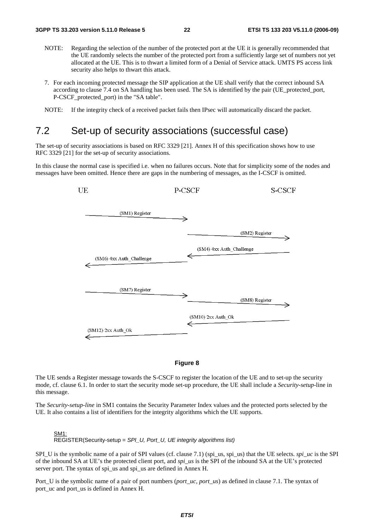- NOTE: Regarding the selection of the number of the protected port at the UE it is generally recommended that the UE randomly selects the number of the protected port from a sufficiently large set of numbers not yet allocated at the UE. This is to thwart a limited form of a Denial of Service attack. UMTS PS access link security also helps to thwart this attack.
- 7. For each incoming protected message the SIP application at the UE shall verify that the correct inbound SA according to clause 7.4 on SA handling has been used. The SA is identified by the pair (UE\_protected\_port, P-CSCF\_protected\_port) in the "SA table".
- NOTE: If the integrity check of a received packet fails then IPsec will automatically discard the packet.

### 7.2 Set-up of security associations (successful case)

The set-up of security associations is based on RFC 3329 [21]. Annex H of this specification shows how to use RFC 3329 [21] for the set-up of security associations.

In this clause the normal case is specified i.e. when no failures occurs. Note that for simplicity some of the nodes and messages have been omitted. Hence there are gaps in the numbering of messages, as the I-CSCF is omitted.



#### **Figure 8**

The UE sends a Register message towards the S-CSCF to register the location of the UE and to set-up the security mode, cf. clause 6.1. In order to start the security mode set-up procedure, the UE shall include a *Security-setup*-line in this message.

The *Security-setup-line* in SM1 contains the Security Parameter Index values and the protected ports selected by the UE. It also contains a list of identifiers for the integrity algorithms which the UE supports.

#### SM1:  $\overline{REG}$ STER(Security-setup = SPI\_U, Port\_U, UE integrity algorithms list)

SPI\_U is the symbolic name of a pair of SPI values (cf. clause 7.1) (spi\_us, spi\_us) that the UE selects. *spi\_uc* is the SPI of the inbound SA at UE's the protected client port, and *spi\_us* is the SPI of the inbound SA at the UE's protected server port. The syntax of spi\_us and spi\_us are defined in Annex H.

Port U is the symbolic name of a pair of port numbers (*port\_uc, port\_us*) as defined in clause 7.1. The syntax of port\_uc and port\_us is defined in Annex H.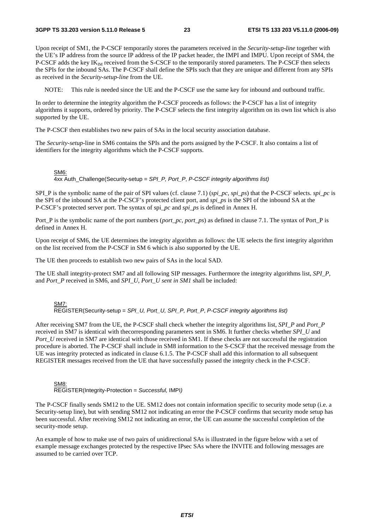Upon receipt of SM1, the P-CSCF temporarily stores the parameters received in the *Security-setup*-*line* together with the UE's IP address from the source IP address of the IP packet header, the IMPI and IMPU. Upon receipt of SM4, the P-CSCF adds the key  $IK_{IM}$  received from the S-CSCF to the temporarily stored parameters. The P-CSCF then selects the SPIs for the inbound SAs. The P-CSCF shall define the SPIs such that they are unique and different from any SPIs as received in the *Security-setup-line* from the UE.

NOTE: This rule is needed since the UE and the P-CSCF use the same key for inbound and outbound traffic.

In order to determine the integrity algorithm the P-CSCF proceeds as follows: the P-CSCF has a list of integrity algorithms it supports, ordered by priority. The P-CSCF selects the first integrity algorithm on its own list which is also supported by the UE.

The P-CSCF then establishes two new pairs of SAs in the local security association database.

The *Security-setup-*line in SM6 contains the SPIs and the ports assigned by the P-CSCF. It also contains a list of identifiers for the integrity algorithms which the P-CSCF supports.

#### SM6:

 $4xx$  Auth\_Challenge(Security-setup = SPI\_P, Port\_P, P-CSCF integrity algorithms list)

SPI\_P is the symbolic name of the pair of SPI values (cf. clause 7.1) (*spi\_pc, spi\_ps*) that the P-CSCF selects. *spi\_pc* is the SPI of the inbound SA at the P-CSCF's protected client port, and *spi\_ps* is the SPI of the inbound SA at the P-CSCF's protected server port. The syntax of spi*\_pc* and *spi\_ps* is defined in Annex H.

Port\_P is the symbolic name of the port numbers (*port\_pc*, *port\_ps*) as defined in clause 7.1. The syntax of Port\_P is defined in Annex H.

Upon receipt of SM6, the UE determines the integrity algorithm as follows: the UE selects the first integrity algorithm on the list received from the P-CSCF in SM 6 which is also supported by the UE.

The UE then proceeds to establish two new pairs of SAs in the local SAD.

The UE shall integrity-protect SM7 and all following SIP messages. Furthermore the integrity algorithms list, *SPI\_P,*  and *Port* P received in SM6, and *SPI\_U, Port\_U sent in SM1* shall be included:

SM7: REGISTER(Security-setup = SPI\_U, Port\_U, SPI\_P, Port\_P, P-CSCF integrity algorithms list)

After receiving SM7 from the UE, the P-CSCF shall check whether the integrity algorithms list, *SPI\_P* and *Port\_P* received in SM7 is identical with thecorresponding parameters sent in SM6. It further checks whether *SPI\_U* and *Port\_U* received in SM7 are identical with those received in SM1. If these checks are not successful the registration procedure is aborted. The P-CSCF shall include in SM8 information to the S-CSCF that the received message from the UE was integrity protected as indicated in clause 6.1.5. The P-CSCF shall add this information to all subsequent REGISTER messages received from the UE that have successfully passed the integrity check in the P-CSCF.

SM8: REGISTER(Integrity-Protection = Successful, IMPI)

The P-CSCF finally sends SM12 to the UE. SM12 does not contain information specific to security mode setup (i.e. a Security-setup line), but with sending SM12 not indicating an error the P-CSCF confirms that security mode setup has been successful. After receiving SM12 not indicating an error, the UE can assume the successful completion of the security-mode setup.

An example of how to make use of two pairs of unidirectional SAs is illustrated in the figure below with a set of example message exchanges protected by the respective IPsec SAs where the INVITE and following messages are assumed to be carried over TCP.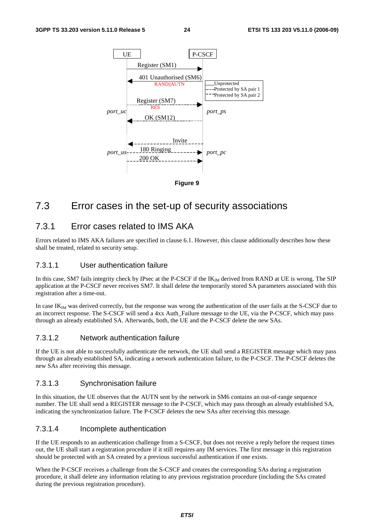

**Figure 9** 

### 7.3 Error cases in the set-up of security associations

### 7.3.1 Error cases related to IMS AKA

Errors related to IMS AKA failures are specified in clause 6.1. However, this clause additionally describes how these shall be treated, related to security setup.

#### 7.3.1.1 User authentication failure

In this case, SM7 fails integrity check by IPsec at the P-CSCF if the  $IK_{\text{IM}}$  derived from RAND at UE is wrong. The SIP application at the P-CSCF never receives SM7. It shall delete the temporarily stored SA parameters associated with this registration after a time-out.

In case IK<sub>IM</sub> was derived correctly, but the response was wrong the authentication of the user fails at the S-CSCF due to an incorrect response. The S-CSCF will send a 4xx Auth\_Failure message to the UE, via the P-CSCF, which may pass through an already established SA. Afterwards, both, the UE and the P-CSCF delete the new SAs.

#### 7.3.1.2 Network authentication failure

If the UE is not able to successfully authenticate the network, the UE shall send a REGISTER message which may pass through an already established SA, indicating a network authentication failure, to the P-CSCF. The P-CSCF deletes the new SAs after receiving this message.

#### 7.3.1.3 Synchronisation failure

In this situation, the UE observes that the AUTN sent by the network in SM6 contains an out-of-range sequence number. The UE shall send a REGISTER message to the P-CSCF, which may pass through an already established SA, indicating the synchronization failure. The P-CSCF deletes the new SAs after receiving this message.

#### 7.3.1.4 Incomplete authentication

If the UE responds to an authentication challenge from a S-CSCF, but does not receive a reply before the request times out, the UE shall start a registration procedure if it still requires any IM services. The first message in this registration should be protected with an SA created by a previous successful authentication if one exists.

When the P-CSCF receives a challenge from the S-CSCF and creates the corresponding SAs during a registration procedure, it shall delete any information relating to any previous registration procedure (including the SAs created during the previous registration procedure).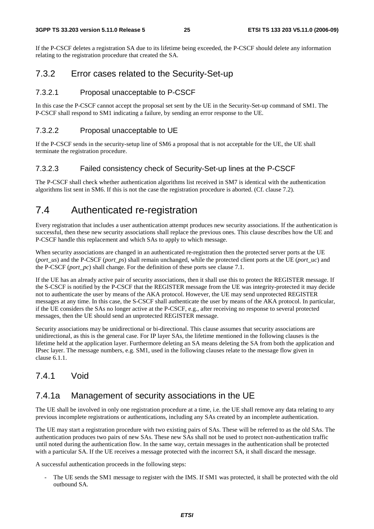If the P-CSCF deletes a registration SA due to its lifetime being exceeded, the P-CSCF should delete any information relating to the registration procedure that created the SA.

### 7.3.2 Error cases related to the Security-Set-up

#### 7.3.2.1 Proposal unacceptable to P-CSCF

In this case the P-CSCF cannot accept the proposal set sent by the UE in the Security-Set-up command of SM1. The P-CSCF shall respond to SM1 indicating a failure, by sending an error response to the UE.

#### 7.3.2.2 Proposal unacceptable to UE

If the P-CSCF sends in the security-setup line of SM6 a proposal that is not acceptable for the UE, the UE shall terminate the registration procedure.

#### 7.3.2.3 Failed consistency check of Security-Set-up lines at the P-CSCF

The P-CSCF shall check whether authentication algorithms list received in SM7 is identical with the authentication algorithms list sent in SM6. If this is not the case the registration procedure is aborted. (Cf. clause 7.2).

### 7.4 Authenticated re-registration

Every registration that includes a user authentication attempt produces new security associations. If the authentication is successful, then these new security associations shall replace the previous ones. This clause describes how the UE and P-CSCF handle this replacement and which SAs to apply to which message.

When security associations are changed in an authenticated re-registration then the protected server ports at the UE (*port\_us*) and the P-CSCF (*port\_ps*) shall remain unchanged, while the protected client ports at the UE (*port\_uc*) and the P-CSCF (*port\_pc*) shall change. For the definition of these ports see clause 7.1.

If the UE has an already active pair of security associations, then it shall use this to protect the REGISTER message. If the S-CSCF is notified by the P-CSCF that the REGISTER message from the UE was integrity-protected it may decide not to authenticate the user by means of the AKA protocol. However, the UE may send unprotected REGISTER messages at any time. In this case, the S-CSCF shall authenticate the user by means of the AKA protocol. In particular, if the UE considers the SAs no longer active at the P-CSCF, e.g., after receiving no response to several protected messages, then the UE should send an unprotected REGISTER message.

Security associations may be unidirectional or bi-directional. This clause assumes that security associations are unidirectional, as this is the general case. For IP layer SAs, the lifetime mentioned in the following clauses is the lifetime held at the application layer. Furthermore deleting an SA means deleting the SA from both the application and IPsec layer. The message numbers, e.g. SM1, used in the following clauses relate to the message flow given in clause 6.1.1.

### 7.4.1 Void

### 7.4.1a Management of security associations in the UE

The UE shall be involved in only one registration procedure at a time, i.e. the UE shall remove any data relating to any previous incomplete registrations or authentications, including any SAs created by an incomplete authentication.

The UE may start a registration procedure with two existing pairs of SAs. These will be referred to as the old SAs. The authentication produces two pairs of new SAs. These new SAs shall not be used to protect non-authentication traffic until noted during the authentication flow. In the same way, certain messages in the authentication shall be protected with a particular SA. If the UE receives a message protected with the incorrect SA, it shall discard the message.

A successful authentication proceeds in the following steps:

The UE sends the SM1 message to register with the IMS. If SM1 was protected, it shall be protected with the old outbound SA.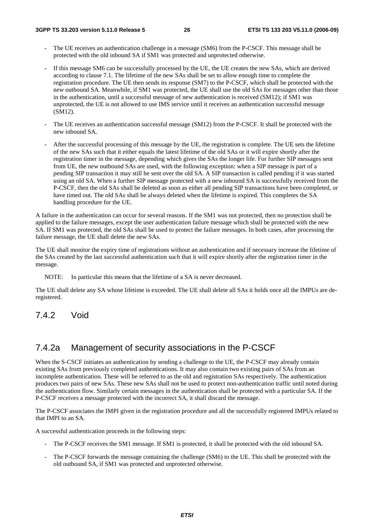- The UE receives an authentication challenge in a message (SM6) from the P-CSCF. This message shall be protected with the old inbound SA if SM1 was protected and unprotected otherwise.
- If this message SM6 can be successfully processed by the UE, the UE creates the new SAs, which are derived according to clause 7.1. The lifetime of the new SAs shall be set to allow enough time to complete the registration procedure. The UE then sends its response (SM7) to the P-CSCF, which shall be protected with the new outbound SA. Meanwhile, if SM1 was protected, the UE shall use the old SAs for messages other than those in the authentication, until a successful message of new authentication is received (SM12); if SM1 was unprotected, the UE is not allowed to use IMS service until it receives an authentication successful message (SM12).
- The UE receives an authentication successful message (SM12) from the P-CSCF. It shall be protected with the new inbound SA.
- After the successful processing of this message by the UE, the registration is complete. The UE sets the lifetime of the new SAs such that it either equals the latest lifetime of the old SAs or it will expire shortly after the registration timer in the message, depending which gives the SAs the longer life. For further SIP messages sent from UE, the new outbound SAs are used, with the following exception: when a SIP message is part of a pending SIP transaction it may still be sent over the old SA. A SIP transaction is called pending if it was started using an old SA. When a further SIP message protected with a new inbound SA is successfully received from the P-CSCF, then the old SAs shall be deleted as soon as either all pending SIP transactions have been completed, or have timed out. The old SAs shall be always deleted when the lifetime is expired. This completes the SA handling procedure for the UE.

A failure in the authentication can occur for several reasons. If the SM1 was not protected, then no protection shall be applied to the failure messages, except the user authentication failure message which shall be protected with the new SA. If SM1 was protected, the old SAs shall be used to protect the failure messages. In both cases, after processing the failure message, the UE shall delete the new SAs.

The UE shall monitor the expiry time of registrations without an authentication and if necessary increase the lifetime of the SAs created by the last successful authentication such that it will expire shortly after the registration timer in the message.

NOTE: In particular this means that the lifetime of a SA is never decreased.

The UE shall delete any SA whose lifetime is exceeded. The UE shall delete all SAs it holds once all the IMPUs are deregistered.

### 7.4.2 Void

### 7.4.2a Management of security associations in the P-CSCF

When the S-CSCF initiates an authentication by sending a challenge to the UE, the P-CSCF may already contain existing SAs from previously completed authentications. It may also contain two existing pairs of SAs from an incomplete authentication. These will be referred to as the old and registration SAs respectively. The authentication produces two pairs of new SAs. These new SAs shall not be used to protect non-authentication traffic until noted during the authentication flow. Similarly certain messages in the authentication shall be protected with a particular SA. If the P-CSCF receives a message protected with the incorrect SA, it shall discard the message.

The P-CSCF associates the IMPI given in the registration procedure and all the successfully registered IMPUs related to that IMPI to an SA.

A successful authentication proceeds in the following steps:

- The P-CSCF receives the SM1 message. If SM1 is protected, it shall be protected with the old inbound SA.
- The P-CSCF forwards the message containing the challenge (SM6) to the UE. This shall be protected with the old outbound SA, if SM1 was protected and unprotected otherwise.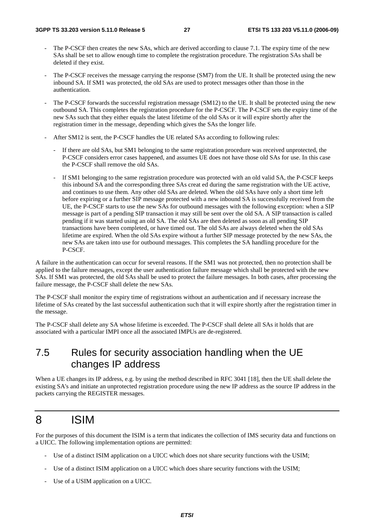- The P-CSCF then creates the new SAs, which are derived according to clause 7.1. The expiry time of the new SAs shall be set to allow enough time to complete the registration procedure. The registration SAs shall be deleted if they exist.
- The P-CSCF receives the message carrying the response (SM7) from the UE. It shall be protected using the new inbound SA. If SM1 was protected, the old SAs are used to protect messages other than those in the authentication.
- The P-CSCF forwards the successful registration message (SM12) to the UE. It shall be protected using the new outbound SA. This completes the registration procedure for the P-CSCF. The P-CSCF sets the expiry time of the new SAs such that they either equals the latest lifetime of the old SAs or it will expire shortly after the registration timer in the message, depending which gives the SAs the longer life.
- After SM12 is sent, the P-CSCF handles the UE related SAs according to following rules:
	- If there are old SAs, but SM1 belonging to the same registration procedure was received unprotected, the P-CSCF considers error cases happened, and assumes UE does not have those old SAs for use. In this case the P-CSCF shall remove the old SAs.
	- If SM1 belonging to the same registration procedure was protected with an old valid SA, the P-CSCF keeps this inbound SA and the corresponding three SAs creat ed during the same registration with the UE active, and continues to use them. Any other old SAs are deleted. When the old SAs have only a short time left before expiring or a further SIP message protected with a new inbound SA is successfully received from the UE, the P-CSCF starts to use the new SAs for outbound messages with the following exception: when a SIP message is part of a pending SIP transaction it may still be sent over the old SA. A SIP transaction is called pending if it was started using an old SA. The old SAs are then deleted as soon as all pending SIP transactions have been completed, or have timed out. The old SAs are always deleted when the old SAs lifetime are expired. When the old SAs expire without a further SIP message protected by the new SAs, the new SAs are taken into use for outbound messages. This completes the SA handling procedure for the P-CSCF.

A failure in the authentication can occur for several reasons. If the SM1 was not protected, then no protection shall be applied to the failure messages, except the user authentication failure message which shall be protected with the new SAs. If SM1 was protected, the old SAs shall be used to protect the failure messages. In both cases, after processing the failure message, the P-CSCF shall delete the new SAs.

The P-CSCF shall monitor the expiry time of registrations without an authentication and if necessary increase the lifetime of SAs created by the last successful authentication such that it will expire shortly after the registration timer in the message.

The P-CSCF shall delete any SA whose lifetime is exceeded. The P-CSCF shall delete all SAs it holds that are associated with a particular IMPI once all the associated IMPUs are de-registered.

### 7.5 Rules for security association handling when the UE changes IP address

When a UE changes its IP address, e.g. by using the method described in RFC 3041 [18], then the UE shall delete the existing SA's and initiate an unprotected registration procedure using the new IP address as the source IP address in the packets carrying the REGISTER messages.

## 8 ISIM

For the purposes of this document the ISIM is a term that indicates the collection of IMS security data and functions on a UICC. The following implementation options are permitted:

- Use of a distinct ISIM application on a UICC which does not share security functions with the USIM;
- Use of a distinct ISIM application on a UICC which does share security functions with the USIM;
- Use of a USIM application on a UICC.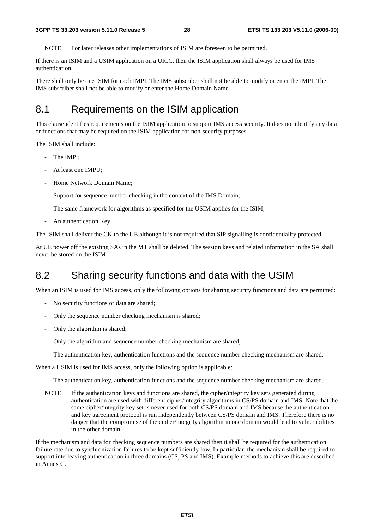NOTE: For later releases other implementations of ISIM are foreseen to be permitted.

If there is an ISIM and a USIM application on a UICC, then the ISIM application shall always be used for IMS authentication.

There shall only be one ISIM for each IMPI. The IMS subscriber shall not be able to modify or enter the IMPI. The IMS subscriber shall not be able to modify or enter the Home Domain Name.

### 8.1 Requirements on the ISIM application

This clause identifies requirements on the ISIM application to support IMS access security. It does not identify any data or functions that may be required on the ISIM application for non-security purposes.

The ISIM shall include:

- The IMPI:
- At least one IMPU;
- Home Network Domain Name:
- Support for sequence number checking in the context of the IMS Domain;
- The same framework for algorithms as specified for the USIM applies for the ISIM;
- An authentication Key.

The ISIM shall deliver the CK to the UE although it is not required that SIP signalling is confidentiality protected.

At UE power off the existing SAs in the MT shall be deleted. The session keys and related information in the SA shall never be stored on the ISIM.

### 8.2 Sharing security functions and data with the USIM

When an ISIM is used for IMS access, only the following options for sharing security functions and data are permitted:

- No security functions or data are shared;
- Only the sequence number checking mechanism is shared;
- Only the algorithm is shared;
- Only the algorithm and sequence number checking mechanism are shared;
- The authentication key, authentication functions and the sequence number checking mechanism are shared.

When a USIM is used for IMS access, only the following option is applicable:

- The authentication key, authentication functions and the sequence number checking mechanism are shared.
- NOTE: If the authentication keys and functions are shared, the cipher/integrity key sets generated during authentication are used with different cipher/integrity algorithms in CS/PS domain and IMS. Note that the same cipher/integrity key set is never used for both CS/PS domain and IMS because the authentication and key agreement protocol is run independently between CS/PS domain and IMS. Therefore there is no danger that the compromise of the cipher/integrity algorithm in one domain would lead to vulnerabilities in the other domain.

If the mechanism and data for checking sequence numbers are shared then it shall be required for the authentication failure rate due to synchronization failures to be kept sufficiently low. In particular, the mechanism shall be required to support interleaving authentication in three domains (CS, PS and IMS). Example methods to achieve this are described in Annex G.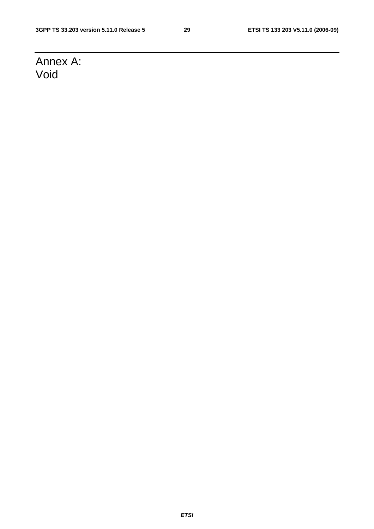## Annex A: Void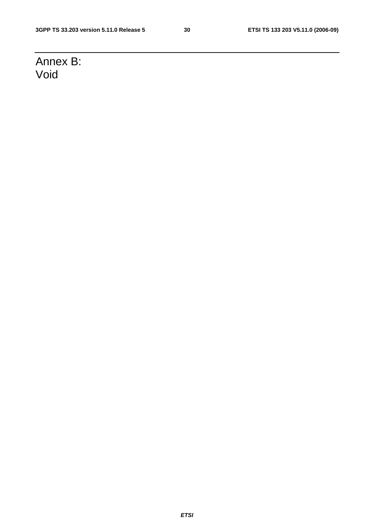## Annex B: Void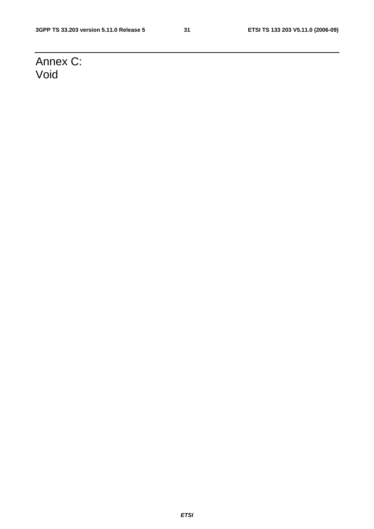## Annex C: Void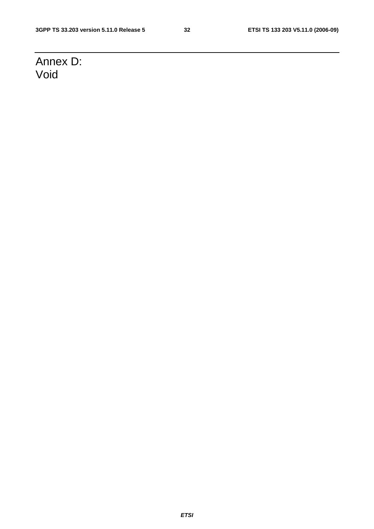## Annex D: Void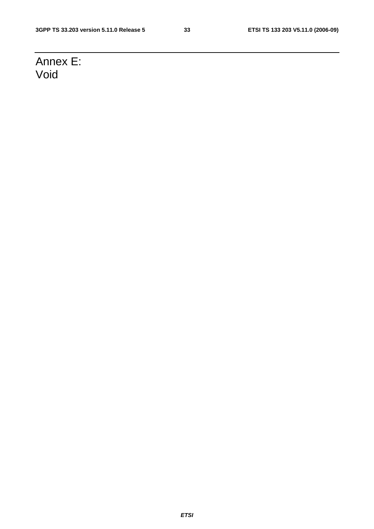## Annex E: Void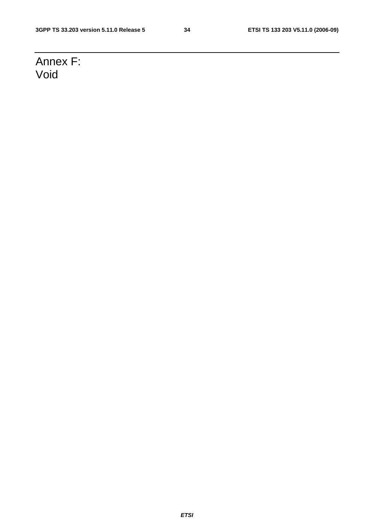## Annex F: Void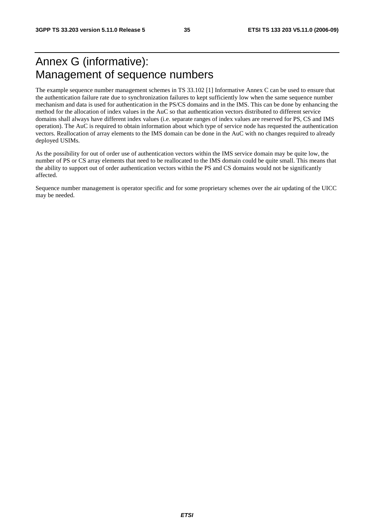## Annex G (informative): Management of sequence numbers

The example sequence number management schemes in TS 33.102 [1] Informative Annex C can be used to ensure that the authentication failure rate due to synchronization failures to kept sufficiently low when the same sequence number mechanism and data is used for authentication in the PS/CS domains and in the IMS. This can be done by enhancing the method for the allocation of index values in the AuC so that authentication vectors distributed to different service domains shall always have different index values (i.e. separate ranges of index values are reserved for PS, CS and IMS operation). The AuC is required to obtain information about which type of service node has requested the authentication vectors. Reallocation of array elements to the IMS domain can be done in the AuC with no changes required to already deployed USIMs.

As the possibility for out of order use of authentication vectors within the IMS service domain may be quite low, the number of PS or CS array elements that need to be reallocated to the IMS domain could be quite small. This means that the ability to support out of order authentication vectors within the PS and CS domains would not be significantly affected.

Sequence number management is operator specific and for some proprietary schemes over the air updating of the UICC may be needed.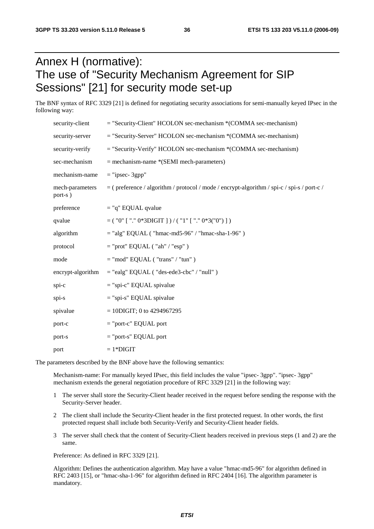## Annex H (normative): The use of "Security Mechanism Agreement for SIP Sessions" [21] for security mode set-up

The BNF syntax of RFC 3329 [21] is defined for negotiating security associations for semi-manually keyed IPsec in the following way:

| security-client            | $=$ "Security-Client" HCOLON sec-mechanism $*(COMMA)$ sec-mechanism)                         |
|----------------------------|----------------------------------------------------------------------------------------------|
| security-server            | $=$ "Security-Server" HCOLON sec-mechanism *(COMMA sec-mechanism)                            |
| security-verify            | $=$ "Security-Verify" HCOLON sec-mechanism *(COMMA sec-mechanism)                            |
| sec-mechanism              | $=$ mechanism-name *(SEMI mech-parameters)                                                   |
| mechanism-name             | $=$ "ipsec- 3gpp"                                                                            |
| mech-parameters<br>port-s) | $=$ (preference / algorithm / protocol / mode / encrypt-algorithm / spi-c / spi-s / port-c / |
| preference                 | $=$ "q" EQUAL qvalue                                                                         |
| qvalue                     | $=$ ( "0" [ "." 0*3DIGIT ] ) / ( "1" [ "." 0*3("0") ] )                                      |
| algorithm                  | $=$ "alg" EQUAL ("hmac-md5-96" / "hmac-sha-1-96")                                            |
| protocol                   | $=$ "prot" EQUAL ("ah" / "esp")                                                              |
| mode                       | $=$ "mod" EQUAL ("trans" / "tun")                                                            |
| encrypt-algorithm          | $=$ "ealg" EQUAL ("des-ede3-cbc" / "null")                                                   |
| spi-c                      | $=$ "spi-c" EQUAL spivalue                                                                   |
| spi-s                      | $=$ "spi-s" EQUAL spivalue                                                                   |
| spivalue                   | $= 10$ DIGIT; 0 to 4294967295                                                                |
| port-c                     | $=$ "port-c" EQUAL port                                                                      |
| port-s                     | $=$ "port-s" EQUAL port                                                                      |
| port                       | $=1*DIGIT$                                                                                   |

The parameters described by the BNF above have the following semantics:

 Mechanism-name: For manually keyed IPsec, this field includes the value "ipsec- 3gpp". "ipsec- 3gpp" mechanism extends the general negotiation procedure of RFC 3329 [21] in the following way:

- 1 The server shall store the Security-Client header received in the request before sending the response with the Security-Server header.
- 2 The client shall include the Security-Client header in the first protected request. In other words, the first protected request shall include both Security-Verify and Security-Client header fields.
- 3 The server shall check that the content of Security-Client headers received in previous steps (1 and 2) are the same.

Preference: As defined in RFC 3329 [21].

 Algorithm: Defines the authentication algorithm. May have a value "hmac-md5-96" for algorithm defined in RFC 2403 [15], or "hmac-sha-1-96" for algorithm defined in RFC 2404 [16]. The algorithm parameter is mandatory.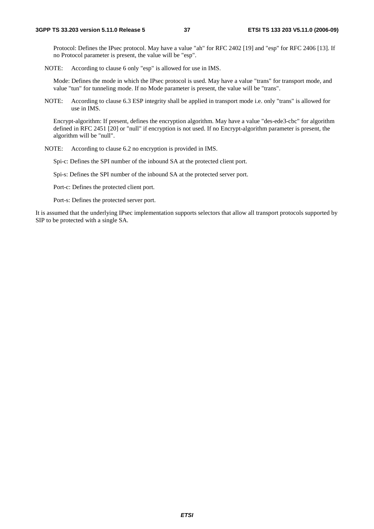Protocol: Defines the IPsec protocol. May have a value "ah" for RFC 2402 [19] and "esp" for RFC 2406 [13]. If no Protocol parameter is present, the value will be "esp".

NOTE: According to clause 6 only "esp" is allowed for use in IMS.

 Mode: Defines the mode in which the IPsec protocol is used. May have a value "trans" for transport mode, and value "tun" for tunneling mode. If no Mode parameter is present, the value will be "trans".

NOTE: According to clause 6.3 ESP integrity shall be applied in transport mode i.e. only "trans" is allowed for use in IMS.

 Encrypt-algorithm: If present, defines the encryption algorithm. May have a value "des-ede3-cbc" for algorithm defined in RFC 2451 [20] or "null" if encryption is not used. If no Encrypt-algorithm parameter is present, the algorithm will be "null".

NOTE: According to clause 6.2 no encryption is provided in IMS.

Spi-c: Defines the SPI number of the inbound SA at the protected client port.

Spi-s: Defines the SPI number of the inbound SA at the protected server port.

Port-c: Defines the protected client port.

Port-s: Defines the protected server port.

It is assumed that the underlying IPsec implementation supports selectors that allow all transport protocols supported by SIP to be protected with a single SA.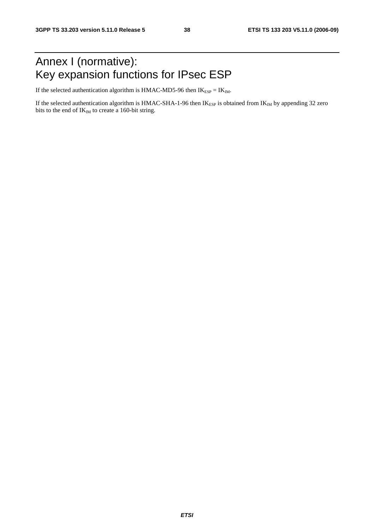## Annex I (normative): Key expansion functions for IPsec ESP

If the selected authentication algorithm is HMAC-MD5-96 then  $IK_{ESP} = IK_{IM}$ .

If the selected authentication algorithm is HMAC-SHA-1-96 then  $IK_{ESP}$  is obtained from  $IK_{IM}$  by appending 32 zero bits to the end of  $IK_{IM}$  to create a 160-bit string.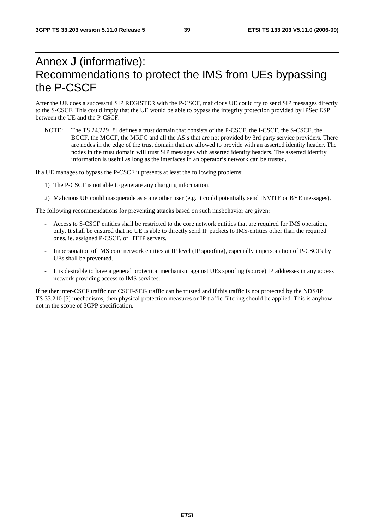## Annex J (informative): Recommendations to protect the IMS from UEs bypassing the P-CSCF

After the UE does a successful SIP REGISTER with the P-CSCF, malicious UE could try to send SIP messages directly to the S-CSCF. This could imply that the UE would be able to bypass the integrity protection provided by IPSec ESP between the UE and the P-CSCF.

NOTE: The TS 24.229 [8] defines a trust domain that consists of the P-CSCF, the I-CSCF, the S-CSCF, the BGCF, the MGCF, the MRFC and all the AS:s that are not provided by 3rd party service providers. There are nodes in the edge of the trust domain that are allowed to provide with an asserted identity header. The nodes in the trust domain will trust SIP messages with asserted identity headers. The asserted identity information is useful as long as the interfaces in an operator's network can be trusted.

If a UE manages to bypass the P-CSCF it presents at least the following problems:

- 1) The P-CSCF is not able to generate any charging information.
- 2) Malicious UE could masquerade as some other user (e.g. it could potentially send INVITE or BYE messages).

The following recommendations for preventing attacks based on such misbehavior are given:

- Access to S-CSCF entities shall be restricted to the core network entities that are required for IMS operation, only. It shall be ensured that no UE is able to directly send IP packets to IMS-entities other than the required ones, ie. assigned P-CSCF, or HTTP servers.
- Impersonation of IMS core network entities at IP level (IP spoofing), especially impersonation of P-CSCFs by UEs shall be prevented.
- It is desirable to have a general protection mechanism against UEs spoofing (source) IP addresses in any access network providing access to IMS services.

If neither inter-CSCF traffic nor CSCF-SEG traffic can be trusted and if this traffic is not protected by the NDS/IP TS 33.210 [5] mechanisms, then physical protection measures or IP traffic filtering should be applied. This is anyhow not in the scope of 3GPP specification.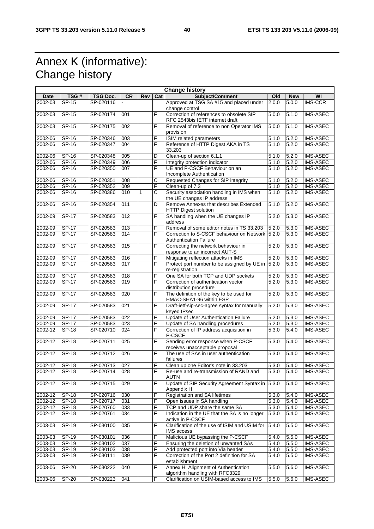## Annex K (informative): Change history

| <b>Change history</b> |              |           |                  |              |     |                                                                                  |                    |            |                 |
|-----------------------|--------------|-----------|------------------|--------------|-----|----------------------------------------------------------------------------------|--------------------|------------|-----------------|
| Date                  | TSG#         | TSG Doc.  | <b>CR</b>        | Rev          | Cat | <b>Subject/Comment</b>                                                           | Old                | <b>New</b> | WI              |
| 2002-03               | SP-15        | SP-020116 |                  |              |     | Approved at TSG SA #15 and placed under<br>change control                        | 2.0.0              | 5.0.0      | <b>IMS-CCR</b>  |
| 2002-03               | $SP-15$      | SP-020174 | 001              |              | F   | Correction of references to obsolete SIP<br>RFC 2543bis IETF internet draft      | 5.0.0              | 5.1.0      | <b>IMS-ASEC</b> |
| 2002-03               | $SP-15$      | SP-020175 | 002              |              | F   | Removal of reference to non Operator IMS<br>provision                            | 5.0.0              | 5.1.0      | <b>IMS-ASEC</b> |
| 2002-06               | SP-16        | SP-020346 | 003              |              | F   | ISIM related parameters                                                          | 5.1.0              | 5.2.0      | <b>IMS-ASEC</b> |
| 2002-06               | SP-16        | SP-020347 | 004              |              | F   | Reference of HTTP Digest AKA in TS<br>33.203                                     | 5.1.0              | 5.2.0      | <b>IMS-ASEC</b> |
| 2002-06               | $SP-16$      | SP-020348 | 005              |              | D   | Clean-up of section 6.1.1                                                        | 5.1.0              | 5.2.0      | IMS-ASEC        |
| 2002-06               | SP-16        | SP-020349 | 006              |              | F   | Integrity protection indicator                                                   | 5.1.0              | 5.2.0      | <b>IMS-ASEC</b> |
| 2002-06               | SP-16        | SP-020350 | 007              |              | F   | UE and P-CSCF Behaviour on an<br>Incomplete Authentication                       | 5.1.0              | 5.2.0      | <b>IMS-ASEC</b> |
| 2002-06               | $SP-16$      | SP-020351 | 008              |              | С   | Requested Changes for SIP integrity                                              | 5.1.0              | 5.2.0      | <b>IMS-ASEC</b> |
| 2002-06               | SP-16        | SP-020352 | 009              |              | F   | Clean-up of 7.3                                                                  | 5.1.0              | 5.2.0      | IMS-ASEC        |
| 2002-06               | SP-16        | SP-020386 | 010              | $\mathbf{1}$ | Ć   | Security association handling in IMS when<br>the UE changes IP address           | 5.1.0              | 5.2.0      | <b>IMS-ASEC</b> |
| 2002-06               | $SP-16$      | SP-020354 | $\overline{011}$ |              | D   | Remove Annexes that describes Extended<br><b>HTTP Digest solution</b>            | 5.1.0              | 5.2.0      | <b>IMS-ASEC</b> |
| 2002-09               | $SP-17$      | SP-020583 | 012              |              | F   | SA handling when the UE changes IP<br>address                                    | 5.2.0              | 5.3.0      | <b>IMS-ASEC</b> |
| 2002-09               | <b>SP-17</b> | SP-020583 | 013              |              | F   | Removal of some editor notes in TS 33.203                                        | 5.2.0              | 5.3.0      | <b>IMS-ASEC</b> |
| 2002-09               | SP-17        | SP-020583 | 014              |              | F   | Correction to S-CSCF behaviour on Network 5.2.0<br><b>Authentication Failure</b> |                    | 5.3.0      | <b>IMS-ASEC</b> |
| 2002-09               | $SP-17$      | SP-020583 | 015              |              | F   | Correcting the network behaviour in<br>response to an incorrect AUT-S            | 5.2.0              | 5.3.0      | <b>IMS-ASEC</b> |
| 2002-09               | <b>SP-17</b> | SP-020583 | 016              |              | F   | Mitigating reflection attacks in IMS                                             | 5.2.0              | 5.3.0      | <b>IMS-ASEC</b> |
| 2002-09               | <b>SP-17</b> | SP-020583 | 017              |              | F   | Protect port number to be assigned by UE in 5.2.0<br>re-registration             |                    | 5.3.0      | <b>IMS-ASEC</b> |
| 2002-09               | <b>SP-17</b> | SP-020583 | 018              |              | F   | One SA for both TCP and UDP sockets                                              | 5.2.0              | 5.3.0      | <b>IMS-ASEC</b> |
| $2002 - 09$           | <b>SP-17</b> | SP-020583 | 019              |              | F   | Correction of authentication vector<br>distribution procedure                    | 5.2.0              | 5.3.0      | IMS-ASEC        |
| 2002-09               | $SP-17$      | SP-020583 | 020              |              | F   | The definition of the key to be used for<br>HMAC-SHA1-96 within ESP              | 5.2.0              | 5.3.0      | <b>IMS-ASEC</b> |
| 2002-09               | $SP-17$      | SP-020583 | 021              |              | F   | Draft-ietf-sip-sec-agree syntax for manually<br>keyed IPsec                      | 5.2.0              | 5.3.0      | <b>IMS-ASEC</b> |
| 2002-09               | <b>SP-17</b> | SP-020583 | 022              |              | F   | Update of User Authentication Failure                                            | 5.2.0              | 5.3.0      | IMS-ASEC        |
| 2002-09               | <b>SP-17</b> | SP-020583 | 023              |              | F   | Update of SA handling procedures                                                 | 5.2.0              | 5.3.0      | IMS-ASEC        |
| 2002-12               | <b>SP-18</b> | SP-020710 | 024              |              | F   | Correction of IP address acquisition in<br>P-CSCF                                | 5.3.0              | 5.4.0      | <b>IMS-ASEC</b> |
| 2002-12               | $SP-18$      | SP-020711 | $\overline{025}$ |              | F   | Sending error response when P-CSCF<br>receives unacceptable proposal             | 5.3.0              | 5.4.0      | <b>IMS-ASEC</b> |
| 2002-12               | $SP-18$      | SP-020712 | 026              |              | F   | The use of SAs in user authentication<br>failures                                | 5.3.0              | 5.4.0      | <b>IMS-ASEC</b> |
| 2002-12               | $SP-18$      | SP-020713 | 027              |              | F   | Clean up one Editor's note in 33.203                                             | 5.3.0              | 5.4.0      | <b>IMS-ASEC</b> |
| 2002-12               | SP-18        | SP-020714 | 028              |              | F   | Re-use and re-transmission of RAND and<br>AUTN                                   | 5.3.0              | 5.4.0      | <b>IMS-ASEC</b> |
| 2002-12               | $SP-18$      | SP-020715 | $\overline{029}$ |              | F   | Update of SIP Security Agreement Syntax in 5.3.0<br>Appendix H                   |                    | 5.4.0      | IMS-ASEC        |
| 2002-12               | SP-18        | SP-020716 | 030              |              | F   | Registration and SA lifetimes                                                    | 5.3.0              | 5.4.0      | <b>IMS-ASEC</b> |
| 2002-12               | <b>SP-18</b> | SP-020717 | 031              |              | F   | Open issues in SA handling                                                       | 5.3.0              | 5.4.0      | IMS-ASEC        |
| 2002-12               | <b>SP-18</b> | SP-020760 | 033              |              | F   | TCP and UDP share the same SA                                                    | 5.3.0              | 5.4.0      | <b>IMS-ASEC</b> |
| $2002 - 12$           | <b>SP-18</b> | SP-020761 | 034              |              | F   | Indication in the UE that the SA is no longer<br>active in P-CSCF                | 5.3.0              | 5.4.0      | <b>IMS-ASEC</b> |
| 2003-03               | SP-19        | SP-030100 | 035              |              | F   | Clarification of the use of ISIM and USIM for<br>IMS access                      | 5.4.0              | 5.5.0      | IMS-ASEC        |
| 2003-03               | SP-19        | SP-030101 | 036              |              | F   | Malicious UE bypassing the P-CSCF                                                | 5.4.0              | 5.5.0      | <b>IMS-ASEC</b> |
| 2003-03               | $SP-19$      | SP-030102 | 037              |              | F   | Ensuring the deletion of unwanted SAs                                            | $\overline{5.4.0}$ | 5.5.0      | <b>IMS-ASEC</b> |
| 2003-03               | $SP-19$      | SP-030103 | 038              |              | F   | Add protected port into Via header                                               | 5.4.0              | 5.5.0      | IMS-ASEC        |
| 2003-03               | SP-19        | SP-030111 | 039              |              | F   | Correction of the Port 2 definition for SA<br>establishment                      | $\overline{5.4.0}$ | 5.5.0      | IMS-ASEC        |
| 2003-06               | SP-20        | SP-030222 | 040              |              | F   | Annex H: Alignment of Authentication<br>algorithm handling with RFC3329          | 5.5.0              | 5.6.0      | <b>IMS-ASEC</b> |
| 2003-06               | <b>SP-20</b> | SP-030223 | 041              |              | F   | Clarification on USIM-based access to IMS                                        | 5.5.0              | 5.6.0      | <b>IMS-ASEC</b> |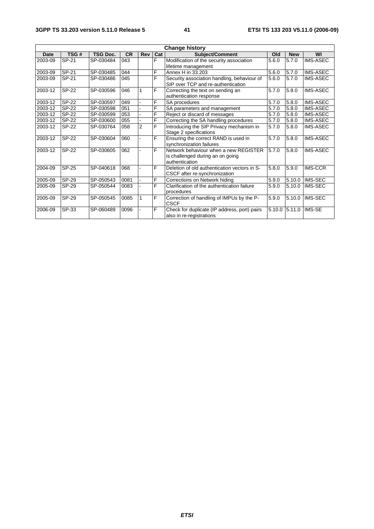| <b>Change history</b> |              |                 |           |                |     |                                              |        |            |                 |
|-----------------------|--------------|-----------------|-----------|----------------|-----|----------------------------------------------|--------|------------|-----------------|
| Date                  | TSG#         | <b>TSG Doc.</b> | <b>CR</b> | <b>Rev</b>     | Cat | <b>Subject/Comment</b>                       | Old    | <b>New</b> | WI              |
| 2003-09               | SP-21        | SP-030484       | 043       |                | F   | Modification of the security association     | 5.6.0  | 5.7.0      | <b>IMS-ASEC</b> |
|                       |              |                 |           |                |     | lifetime management                          |        |            |                 |
| 2003-09               | SP-21        | SP-030485       | 044       |                | F   | Annex H in 33.203                            | 5.6.0  | 5.7.0      | <b>IMS-ASEC</b> |
| 2003-09               | SP-21        | SP-030486       | 045       |                | F   | Security association handling, behaviour of  | 5.6.0  | 5.7.0      | <b>IMS-ASEC</b> |
|                       |              |                 |           |                |     | SIP over TCP and re-authentication           |        |            |                 |
| 2003-12               | SP-22        | SP-030596       | 046       | 1              | F   | Correcting the text on sending an            | 5.7.0  | 5.8.0      | <b>IMS-ASEC</b> |
|                       |              |                 |           |                |     | authentication response                      |        |            |                 |
| 2003-12               | <b>SP-22</b> | SP-030597       | 049       |                | F   | SA procedures                                | 5.7.0  | 5.8.0      | <b>IMS-ASEC</b> |
| 2003-12               | <b>SP-22</b> | SP-030598       | 051       |                | F   | SA parameters and management                 | 5.7.0  | 5.8.0      | <b>IMS-ASEC</b> |
| 2003-12               | SP-22        | SP-030599       | 053       |                | F   | Reject or discard of messages                | 5.7.0  | 5.8.0      | IMS-ASEC        |
| 2003-12               | SP-22        | SP-030600       | 055       |                | F   | Correcting the SA handling procedures        | 5.7.0  | 5.8.0      | <b>IMS-ASEC</b> |
| 2003-12               | SP-22        | SP-030764       | 058       | $\overline{2}$ | F   | Introducing the SIP Privacy mechanism in     | 5.7.0  | 5.8.0      | IMS-ASEC        |
|                       |              |                 |           |                |     | Stage 2 specifications                       |        |            |                 |
| 2003-12               | <b>SP-22</b> | SP-030604       | 060       |                | F   | Ensuring the correct RAND is used in         | 5.7.0  | 5.8.0      | IMS-ASEC        |
|                       |              |                 |           |                |     | synchronization failures                     |        |            |                 |
| 2003-12               | SP-22        | SP-030605       | 062       |                | F   | Network behaviour when a new REGISTER        | 5.7.0  | 5.8.0      | <b>IMS-ASEC</b> |
|                       |              |                 |           |                |     | is challenged during an on going             |        |            |                 |
|                       |              |                 |           |                |     | authentication                               |        |            |                 |
| 2004-09               | SP-25        | SP-040618       | 068       |                | F   | Deletion of old authentication vectors in S- | 5.8.0  | 5.9.0      | <b>IMS-CCR</b>  |
|                       |              |                 |           |                |     | CSCF after re-synchronization                |        |            |                 |
| 2005-09               | SP-29        | SP-050543       | 0081      |                | F   | Corrections on Network hiding                | 5.9.0  | 5.10.0     | <b>IMS-SEC</b>  |
| 2005-09               | <b>SP-29</b> | SP-050544       | 0083      |                | F   | Clarification of the authentication failure  | 5.9.0  | 5.10.0     | IMS-SEC         |
|                       |              |                 |           |                |     | procedures                                   |        |            |                 |
| 2005-09               | SP-29        | SP-050545       | 0085      |                | F   | Correction of handling of IMPUs by the P-    | 5.9.0  | 5.10.0     | IMS-SEC         |
|                       |              |                 |           |                |     | <b>CSCF</b>                                  |        |            |                 |
| 2006-09               | SP-33        | SP-060489       | 0096      |                | F   | Check for duplicate (IP address, port) pairs | 5.10.0 | 5.11.0     | <b>IMS-SE</b>   |
|                       |              |                 |           |                |     | also in re-registrations                     |        |            |                 |